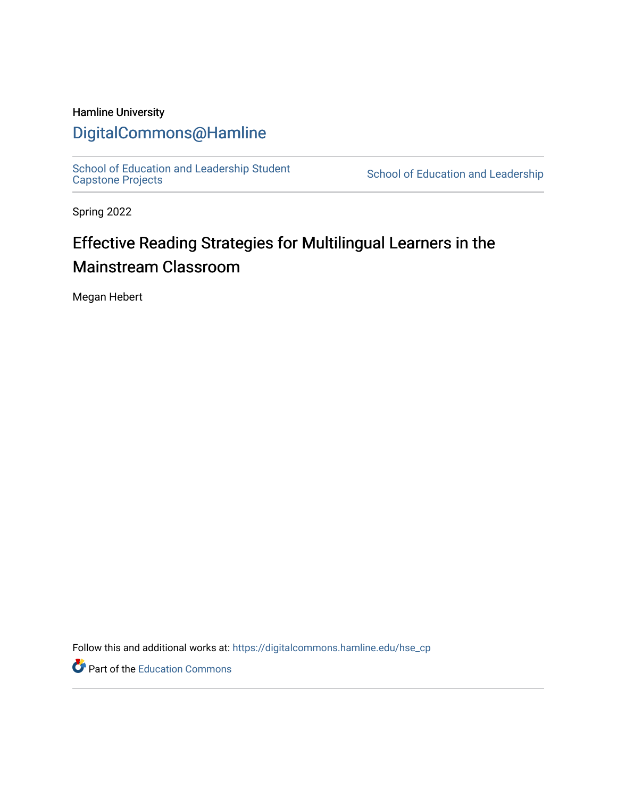### Hamline University

## [DigitalCommons@Hamline](https://digitalcommons.hamline.edu/)

[School of Education and Leadership Student](https://digitalcommons.hamline.edu/hse_cp)<br>Capstone Projects

School of Education and Leadership

Spring 2022

# Effective Reading Strategies for Multilingual Learners in the Mainstream Classroom

Megan Hebert

Follow this and additional works at: [https://digitalcommons.hamline.edu/hse\\_cp](https://digitalcommons.hamline.edu/hse_cp?utm_source=digitalcommons.hamline.edu%2Fhse_cp%2F794&utm_medium=PDF&utm_campaign=PDFCoverPages) 

**P** Part of the [Education Commons](https://network.bepress.com/hgg/discipline/784?utm_source=digitalcommons.hamline.edu%2Fhse_cp%2F794&utm_medium=PDF&utm_campaign=PDFCoverPages)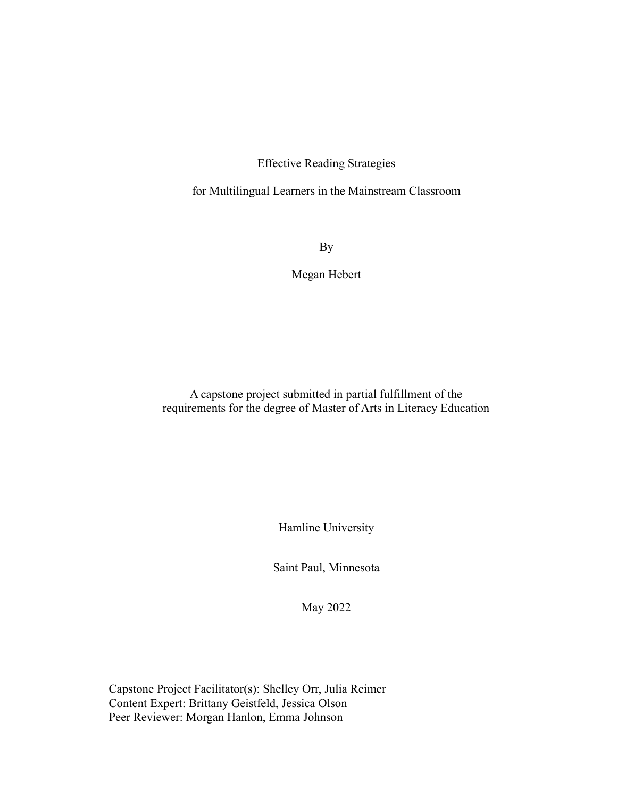Effective Reading Strategies

for Multilingual Learners in the Mainstream Classroom

By

Megan Hebert

A capstone project submitted in partial fulfillment of the requirements for the degree of Master of Arts in Literacy Education

Hamline University

Saint Paul, Minnesota

May 2022

Capstone Project Facilitator(s): Shelley Orr, Julia Reimer Content Expert: Brittany Geistfeld, Jessica Olson Peer Reviewer: Morgan Hanlon, Emma Johnson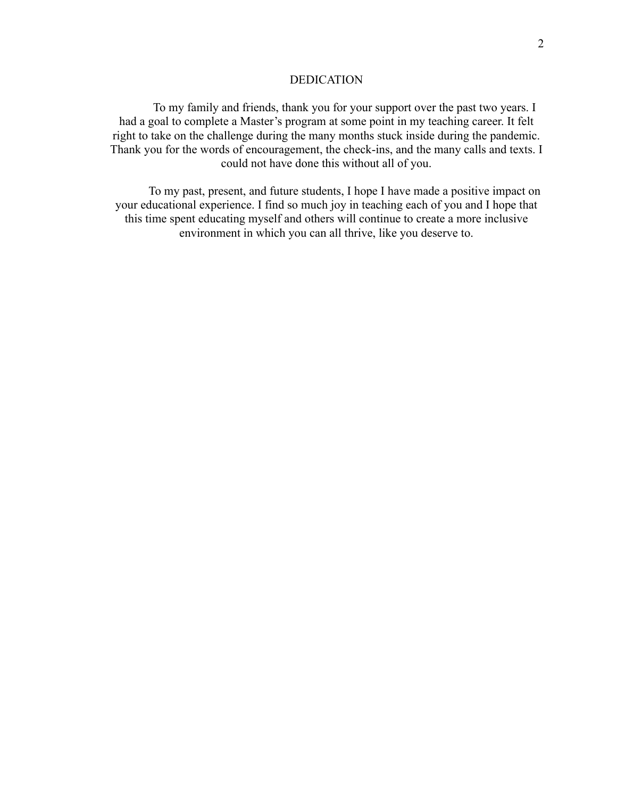#### DEDICATION

To my family and friends, thank you for your support over the past two years. I had a goal to complete a Master's program at some point in my teaching career. It felt right to take on the challenge during the many months stuck inside during the pandemic. Thank you for the words of encouragement, the check-ins, and the many calls and texts. I could not have done this without all of you.

To my past, present, and future students, I hope I have made a positive impact on your educational experience. I find so much joy in teaching each of you and I hope that this time spent educating myself and others will continue to create a more inclusive environment in which you can all thrive, like you deserve to.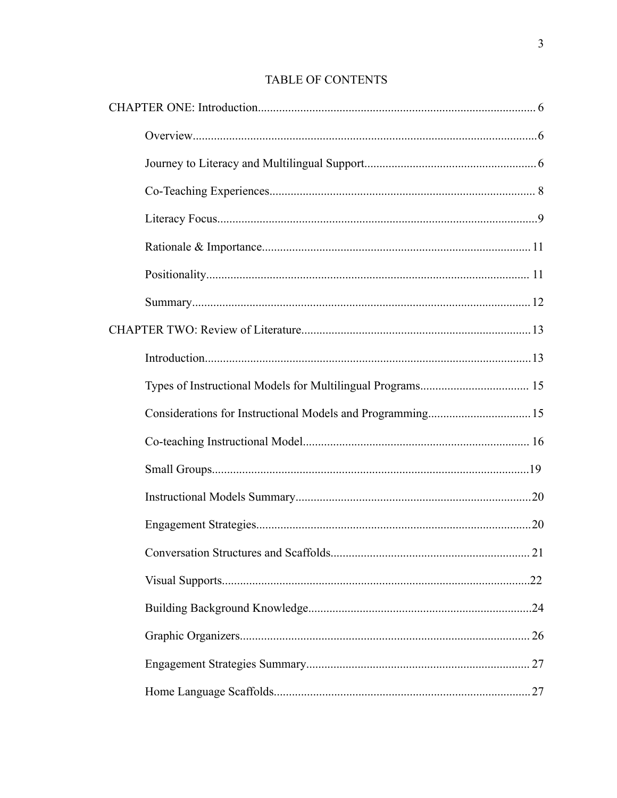## TABLE OF CONTENTS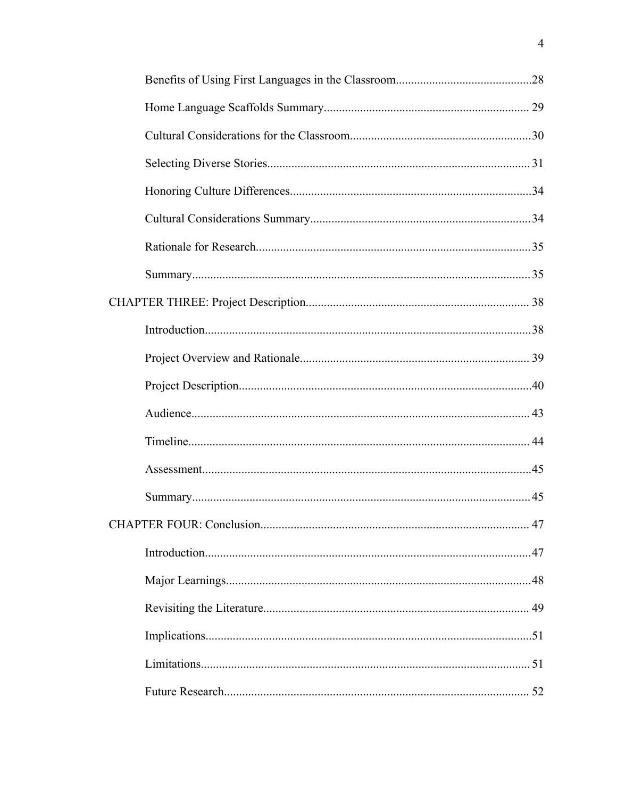|  | 47 |
|--|----|
|  |    |
|  |    |
|  |    |
|  |    |
|  |    |
|  |    |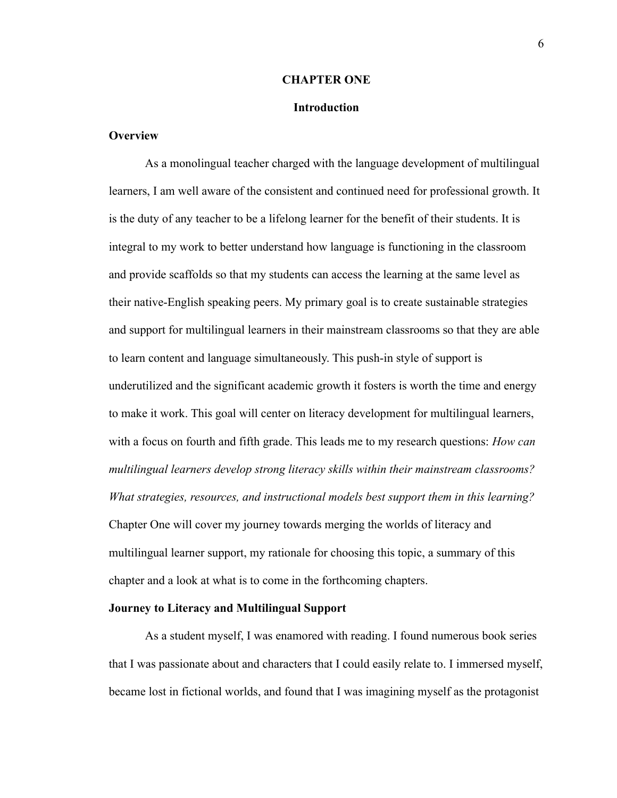#### **CHAPTER ONE**

#### **Introduction**

#### <span id="page-6-2"></span><span id="page-6-1"></span><span id="page-6-0"></span>**Overview**

As a monolingual teacher charged with the language development of multilingual learners, I am well aware of the consistent and continued need for professional growth. It is the duty of any teacher to be a lifelong learner for the benefit of their students. It is integral to my work to better understand how language is functioning in the classroom and provide scaffolds so that my students can access the learning at the same level as their native-English speaking peers. My primary goal is to create sustainable strategies and support for multilingual learners in their mainstream classrooms so that they are able to learn content and language simultaneously. This push-in style of support is underutilized and the significant academic growth it fosters is worth the time and energy to make it work. This goal will center on literacy development for multilingual learners, with a focus on fourth and fifth grade. This leads me to my research questions: *How can multilingual learners develop strong literacy skills within their mainstream classrooms? What strategies, resources, and instructional models best support them in this learning?* Chapter One will cover my journey towards merging the worlds of literacy and multilingual learner support, my rationale for choosing this topic, a summary of this chapter and a look at what is to come in the forthcoming chapters.

#### <span id="page-6-3"></span>**Journey to Literacy and Multilingual Support**

As a student myself, I was enamored with reading. I found numerous book series that I was passionate about and characters that I could easily relate to. I immersed myself, became lost in fictional worlds, and found that I was imagining myself as the protagonist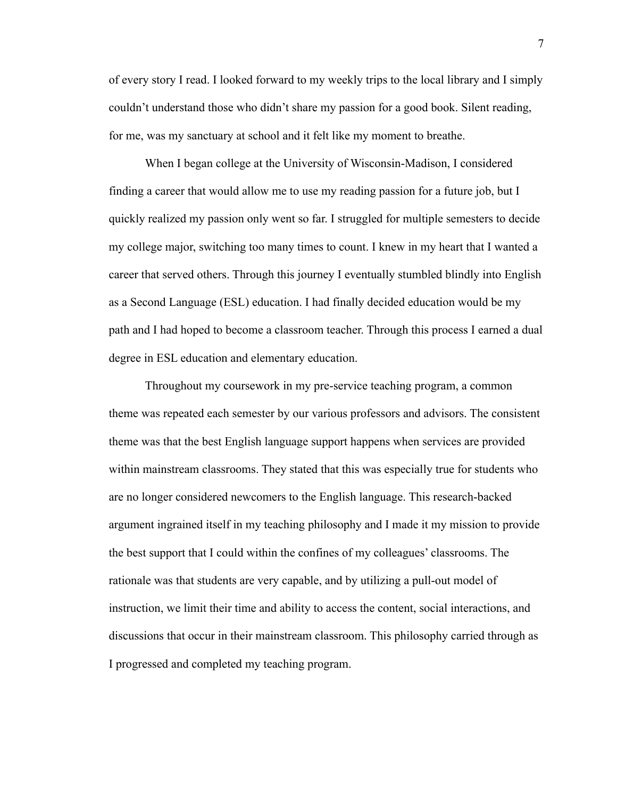of every story I read. I looked forward to my weekly trips to the local library and I simply couldn't understand those who didn't share my passion for a good book. Silent reading, for me, was my sanctuary at school and it felt like my moment to breathe.

When I began college at the University of Wisconsin-Madison, I considered finding a career that would allow me to use my reading passion for a future job, but I quickly realized my passion only went so far. I struggled for multiple semesters to decide my college major, switching too many times to count. I knew in my heart that I wanted a career that served others. Through this journey I eventually stumbled blindly into English as a Second Language (ESL) education. I had finally decided education would be my path and I had hoped to become a classroom teacher. Through this process I earned a dual degree in ESL education and elementary education.

Throughout my coursework in my pre-service teaching program, a common theme was repeated each semester by our various professors and advisors. The consistent theme was that the best English language support happens when services are provided within mainstream classrooms. They stated that this was especially true for students who are no longer considered newcomers to the English language. This research-backed argument ingrained itself in my teaching philosophy and I made it my mission to provide the best support that I could within the confines of my colleagues' classrooms. The rationale was that students are very capable, and by utilizing a pull-out model of instruction, we limit their time and ability to access the content, social interactions, and discussions that occur in their mainstream classroom. This philosophy carried through as I progressed and completed my teaching program.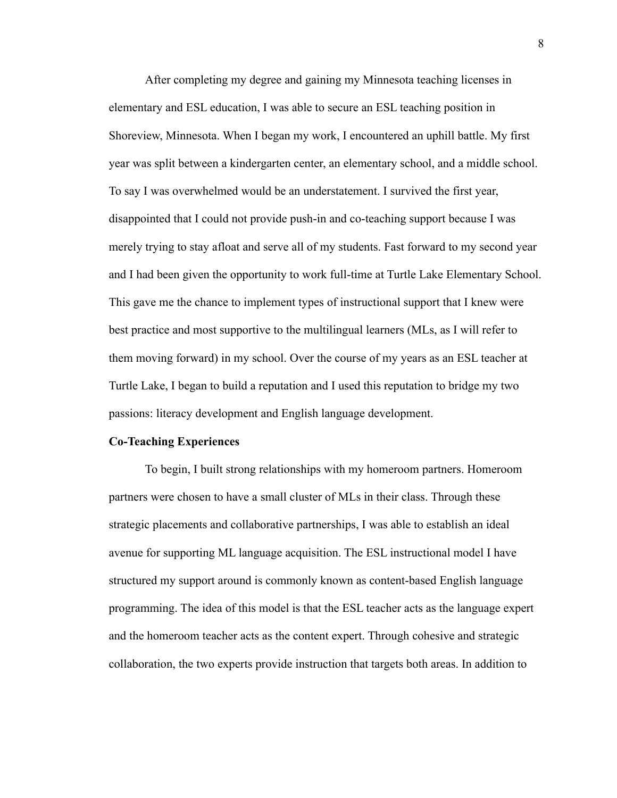After completing my degree and gaining my Minnesota teaching licenses in elementary and ESL education, I was able to secure an ESL teaching position in Shoreview, Minnesota. When I began my work, I encountered an uphill battle. My first year was split between a kindergarten center, an elementary school, and a middle school. To say I was overwhelmed would be an understatement. I survived the first year, disappointed that I could not provide push-in and co-teaching support because I was merely trying to stay afloat and serve all of my students. Fast forward to my second year and I had been given the opportunity to work full-time at Turtle Lake Elementary School. This gave me the chance to implement types of instructional support that I knew were best practice and most supportive to the multilingual learners (MLs, as I will refer to them moving forward) in my school. Over the course of my years as an ESL teacher at Turtle Lake, I began to build a reputation and I used this reputation to bridge my two passions: literacy development and English language development.

#### <span id="page-8-0"></span>**Co-Teaching Experiences**

To begin, I built strong relationships with my homeroom partners. Homeroom partners were chosen to have a small cluster of MLs in their class. Through these strategic placements and collaborative partnerships, I was able to establish an ideal avenue for supporting ML language acquisition. The ESL instructional model I have structured my support around is commonly known as content-based English language programming. The idea of this model is that the ESL teacher acts as the language expert and the homeroom teacher acts as the content expert. Through cohesive and strategic collaboration, the two experts provide instruction that targets both areas. In addition to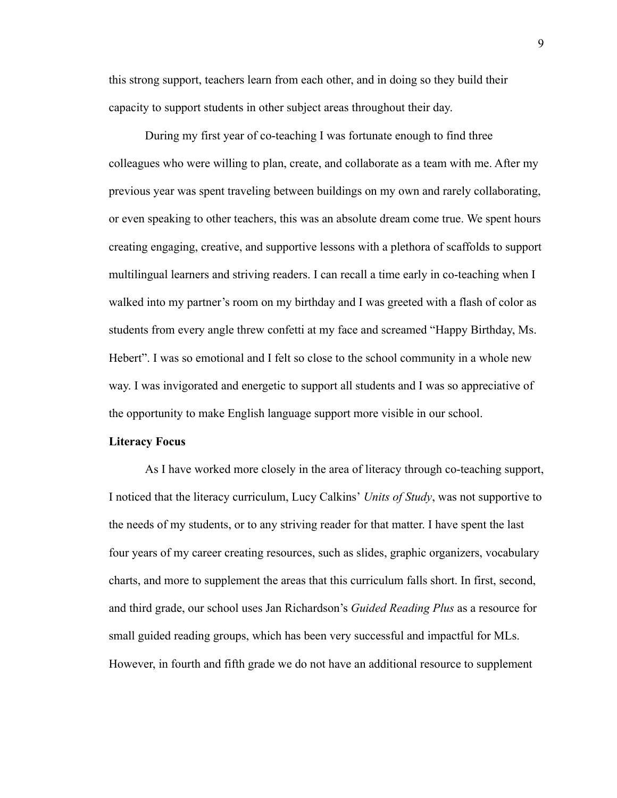this strong support, teachers learn from each other, and in doing so they build their capacity to support students in other subject areas throughout their day.

During my first year of co-teaching I was fortunate enough to find three colleagues who were willing to plan, create, and collaborate as a team with me. After my previous year was spent traveling between buildings on my own and rarely collaborating, or even speaking to other teachers, this was an absolute dream come true. We spent hours creating engaging, creative, and supportive lessons with a plethora of scaffolds to support multilingual learners and striving readers. I can recall a time early in co-teaching when I walked into my partner's room on my birthday and I was greeted with a flash of color as students from every angle threw confetti at my face and screamed "Happy Birthday, Ms. Hebert". I was so emotional and I felt so close to the school community in a whole new way. I was invigorated and energetic to support all students and I was so appreciative of the opportunity to make English language support more visible in our school.

#### <span id="page-9-0"></span>**Literacy Focus**

As I have worked more closely in the area of literacy through co-teaching support, I noticed that the literacy curriculum, Lucy Calkins' *Units of Study*, was not supportive to the needs of my students, or to any striving reader for that matter. I have spent the last four years of my career creating resources, such as slides, graphic organizers, vocabulary charts, and more to supplement the areas that this curriculum falls short. In first, second, and third grade, our school uses Jan Richardson's *Guided Reading Plus* as a resource for small guided reading groups, which has been very successful and impactful for MLs. However, in fourth and fifth grade we do not have an additional resource to supplement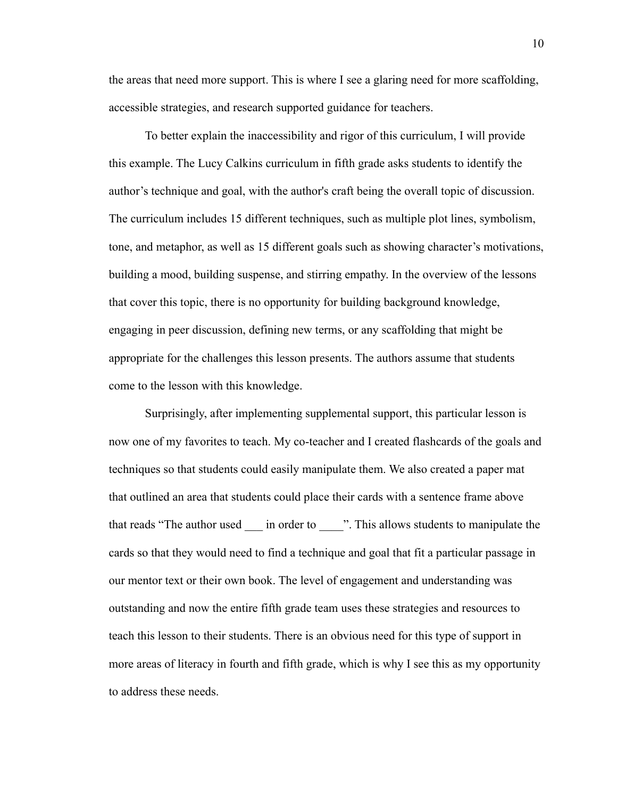the areas that need more support. This is where I see a glaring need for more scaffolding, accessible strategies, and research supported guidance for teachers.

To better explain the inaccessibility and rigor of this curriculum, I will provide this example. The Lucy Calkins curriculum in fifth grade asks students to identify the author's technique and goal, with the author's craft being the overall topic of discussion. The curriculum includes 15 different techniques, such as multiple plot lines, symbolism, tone, and metaphor, as well as 15 different goals such as showing character's motivations, building a mood, building suspense, and stirring empathy. In the overview of the lessons that cover this topic, there is no opportunity for building background knowledge, engaging in peer discussion, defining new terms, or any scaffolding that might be appropriate for the challenges this lesson presents. The authors assume that students come to the lesson with this knowledge.

Surprisingly, after implementing supplemental support, this particular lesson is now one of my favorites to teach. My co-teacher and I created flashcards of the goals and techniques so that students could easily manipulate them. We also created a paper mat that outlined an area that students could place their cards with a sentence frame above that reads "The author used in order to zero. This allows students to manipulate the cards so that they would need to find a technique and goal that fit a particular passage in our mentor text or their own book. The level of engagement and understanding was outstanding and now the entire fifth grade team uses these strategies and resources to teach this lesson to their students. There is an obvious need for this type of support in more areas of literacy in fourth and fifth grade, which is why I see this as my opportunity to address these needs.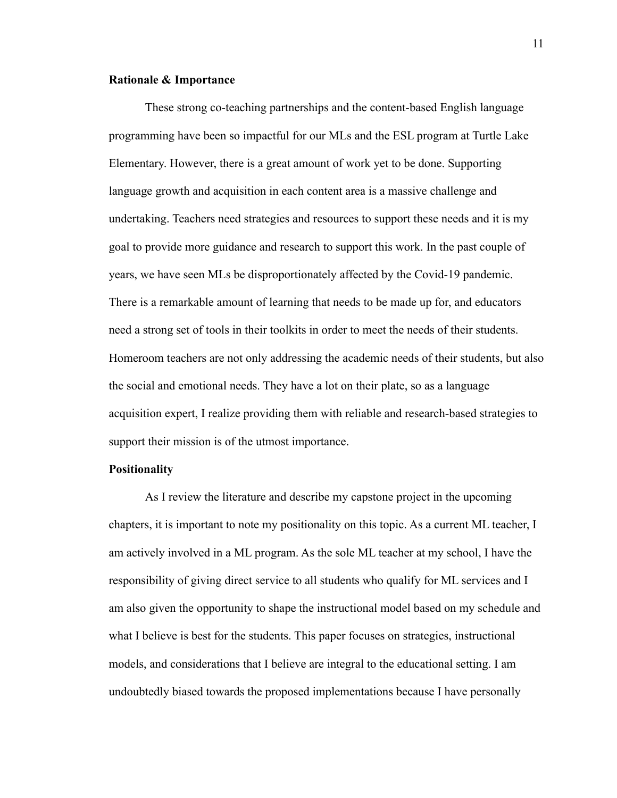#### <span id="page-11-0"></span>**Rationale & Importance**

These strong co-teaching partnerships and the content-based English language programming have been so impactful for our MLs and the ESL program at Turtle Lake Elementary. However, there is a great amount of work yet to be done. Supporting language growth and acquisition in each content area is a massive challenge and undertaking. Teachers need strategies and resources to support these needs and it is my goal to provide more guidance and research to support this work. In the past couple of years, we have seen MLs be disproportionately affected by the Covid-19 pandemic. There is a remarkable amount of learning that needs to be made up for, and educators need a strong set of tools in their toolkits in order to meet the needs of their students. Homeroom teachers are not only addressing the academic needs of their students, but also the social and emotional needs. They have a lot on their plate, so as a language acquisition expert, I realize providing them with reliable and research-based strategies to support their mission is of the utmost importance.

#### <span id="page-11-1"></span>**Positionality**

As I review the literature and describe my capstone project in the upcoming chapters, it is important to note my positionality on this topic. As a current ML teacher, I am actively involved in a ML program. As the sole ML teacher at my school, I have the responsibility of giving direct service to all students who qualify for ML services and I am also given the opportunity to shape the instructional model based on my schedule and what I believe is best for the students. This paper focuses on strategies, instructional models, and considerations that I believe are integral to the educational setting. I am undoubtedly biased towards the proposed implementations because I have personally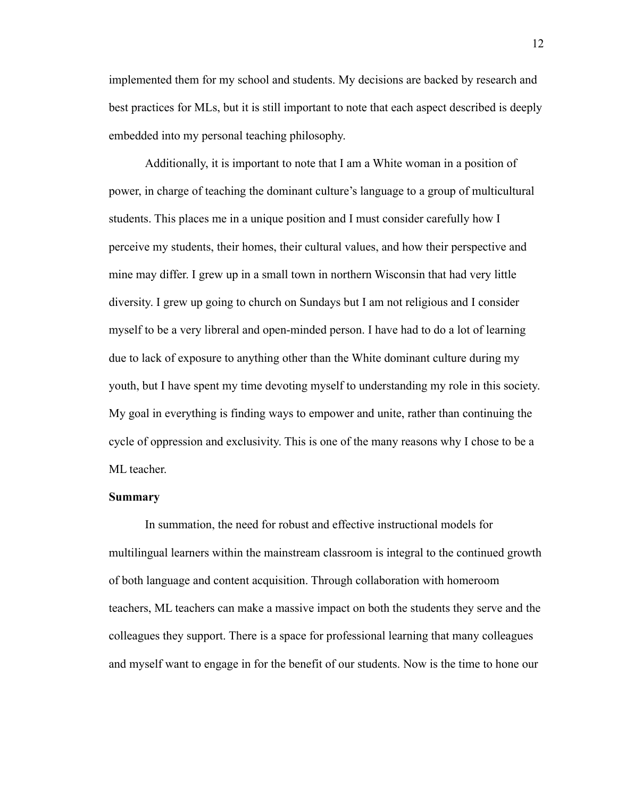implemented them for my school and students. My decisions are backed by research and best practices for MLs, but it is still important to note that each aspect described is deeply embedded into my personal teaching philosophy.

Additionally, it is important to note that I am a White woman in a position of power, in charge of teaching the dominant culture's language to a group of multicultural students. This places me in a unique position and I must consider carefully how I perceive my students, their homes, their cultural values, and how their perspective and mine may differ. I grew up in a small town in northern Wisconsin that had very little diversity. I grew up going to church on Sundays but I am not religious and I consider myself to be a very libreral and open-minded person. I have had to do a lot of learning due to lack of exposure to anything other than the White dominant culture during my youth, but I have spent my time devoting myself to understanding my role in this society. My goal in everything is finding ways to empower and unite, rather than continuing the cycle of oppression and exclusivity. This is one of the many reasons why I chose to be a ML teacher.

#### <span id="page-12-0"></span>**Summary**

In summation, the need for robust and effective instructional models for multilingual learners within the mainstream classroom is integral to the continued growth of both language and content acquisition. Through collaboration with homeroom teachers, ML teachers can make a massive impact on both the students they serve and the colleagues they support. There is a space for professional learning that many colleagues and myself want to engage in for the benefit of our students. Now is the time to hone our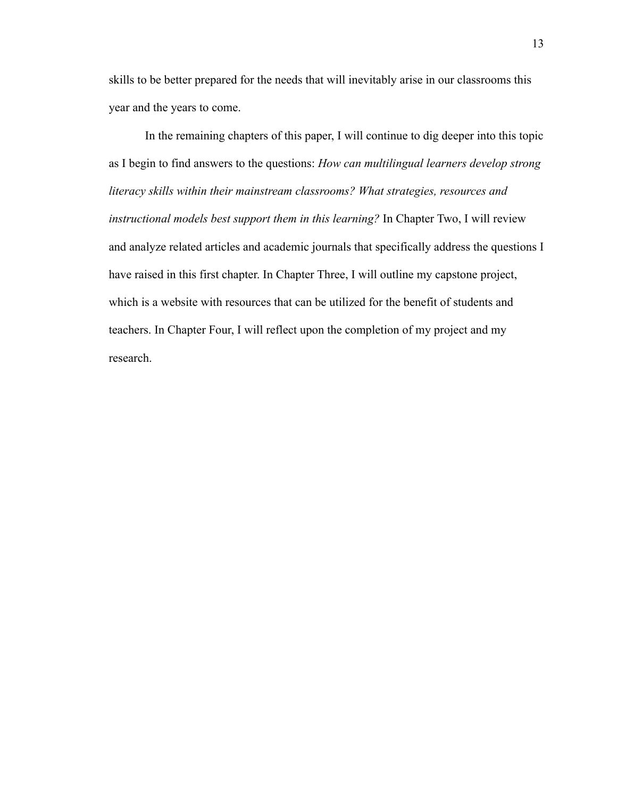skills to be better prepared for the needs that will inevitably arise in our classrooms this year and the years to come.

In the remaining chapters of this paper, I will continue to dig deeper into this topic as I begin to find answers to the questions: *How can multilingual learners develop strong literacy skills within their mainstream classrooms? What strategies, resources and instructional models best support them in this learning?* In Chapter Two, I will review and analyze related articles and academic journals that specifically address the questions I have raised in this first chapter. In Chapter Three, I will outline my capstone project, which is a website with resources that can be utilized for the benefit of students and teachers. In Chapter Four, I will reflect upon the completion of my project and my research.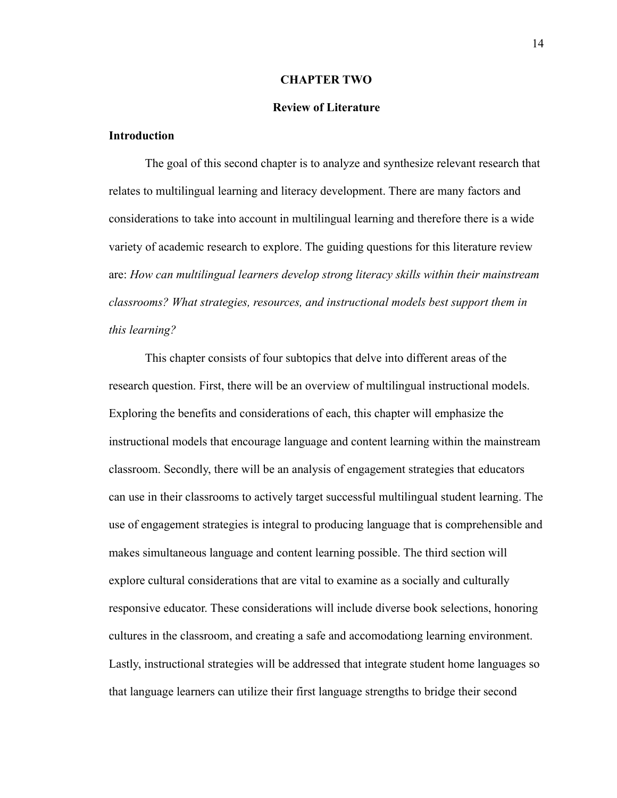#### **CHAPTER TWO**

#### **Review of Literature**

#### <span id="page-14-1"></span><span id="page-14-0"></span>**Introduction**

The goal of this second chapter is to analyze and synthesize relevant research that relates to multilingual learning and literacy development. There are many factors and considerations to take into account in multilingual learning and therefore there is a wide variety of academic research to explore. The guiding questions for this literature review are: *How can multilingual learners develop strong literacy skills within their mainstream classrooms? What strategies, resources, and instructional models best support them in this learning?*

This chapter consists of four subtopics that delve into different areas of the research question. First, there will be an overview of multilingual instructional models. Exploring the benefits and considerations of each, this chapter will emphasize the instructional models that encourage language and content learning within the mainstream classroom. Secondly, there will be an analysis of engagement strategies that educators can use in their classrooms to actively target successful multilingual student learning. The use of engagement strategies is integral to producing language that is comprehensible and makes simultaneous language and content learning possible. The third section will explore cultural considerations that are vital to examine as a socially and culturally responsive educator. These considerations will include diverse book selections, honoring cultures in the classroom, and creating a safe and accomodationg learning environment. Lastly, instructional strategies will be addressed that integrate student home languages so that language learners can utilize their first language strengths to bridge their second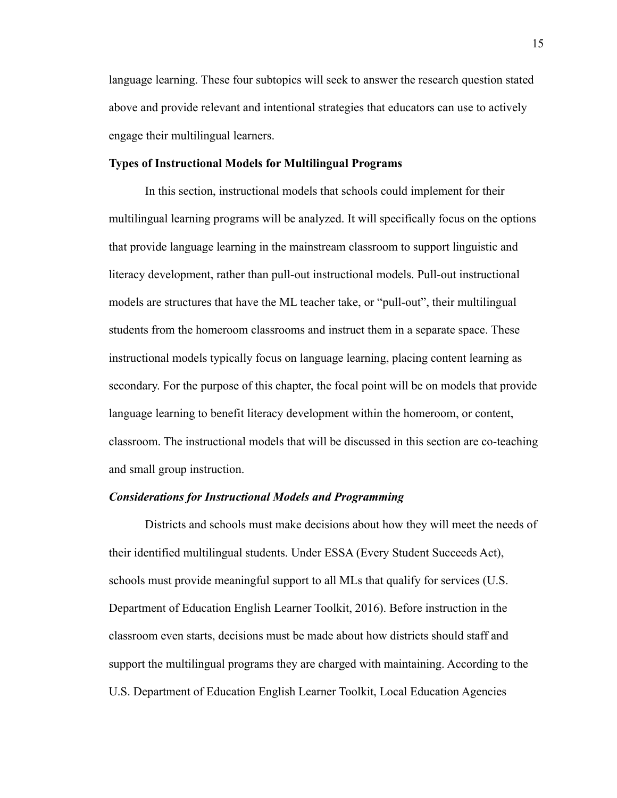language learning. These four subtopics will seek to answer the research question stated above and provide relevant and intentional strategies that educators can use to actively engage their multilingual learners.

#### <span id="page-15-0"></span>**Types of Instructional Models for Multilingual Programs**

In this section, instructional models that schools could implement for their multilingual learning programs will be analyzed. It will specifically focus on the options that provide language learning in the mainstream classroom to support linguistic and literacy development, rather than pull-out instructional models. Pull-out instructional models are structures that have the ML teacher take, or "pull-out", their multilingual students from the homeroom classrooms and instruct them in a separate space. These instructional models typically focus on language learning, placing content learning as secondary. For the purpose of this chapter, the focal point will be on models that provide language learning to benefit literacy development within the homeroom, or content, classroom. The instructional models that will be discussed in this section are co-teaching and small group instruction.

#### <span id="page-15-1"></span>*Considerations for Instructional Models and Programming*

Districts and schools must make decisions about how they will meet the needs of their identified multilingual students. Under ESSA (Every Student Succeeds Act), schools must provide meaningful support to all MLs that qualify for services (U.S. Department of Education English Learner Toolkit, 2016). Before instruction in the classroom even starts, decisions must be made about how districts should staff and support the multilingual programs they are charged with maintaining. According to the U.S. Department of Education English Learner Toolkit, Local Education Agencies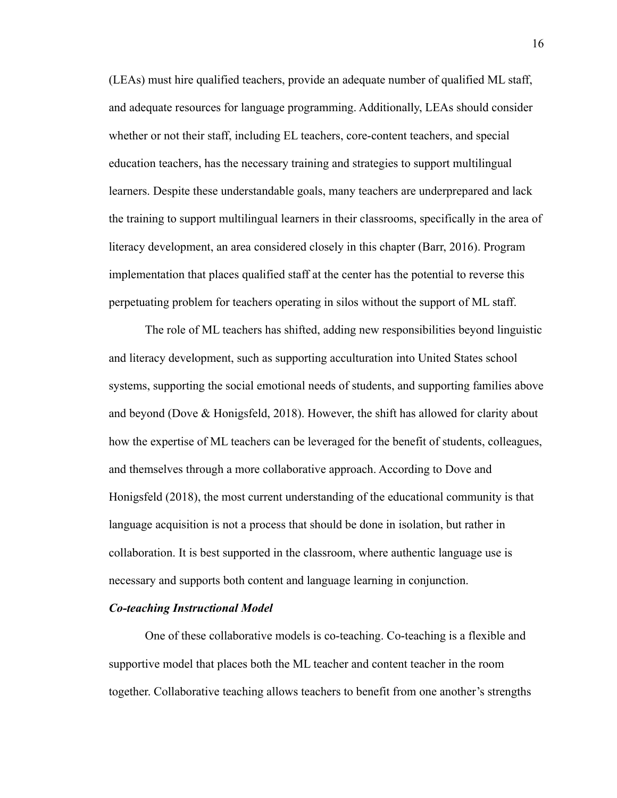(LEAs) must hire qualified teachers, provide an adequate number of qualified ML staff, and adequate resources for language programming. Additionally, LEAs should consider whether or not their staff, including EL teachers, core-content teachers, and special education teachers, has the necessary training and strategies to support multilingual learners. Despite these understandable goals, many teachers are underprepared and lack the training to support multilingual learners in their classrooms, specifically in the area of literacy development, an area considered closely in this chapter (Barr, 2016). Program implementation that places qualified staff at the center has the potential to reverse this perpetuating problem for teachers operating in silos without the support of ML staff.

The role of ML teachers has shifted, adding new responsibilities beyond linguistic and literacy development, such as supporting acculturation into United States school systems, supporting the social emotional needs of students, and supporting families above and beyond (Dove & Honigsfeld, 2018). However, the shift has allowed for clarity about how the expertise of ML teachers can be leveraged for the benefit of students, colleagues, and themselves through a more collaborative approach. According to Dove and Honigsfeld (2018), the most current understanding of the educational community is that language acquisition is not a process that should be done in isolation, but rather in collaboration. It is best supported in the classroom, where authentic language use is necessary and supports both content and language learning in conjunction.

#### <span id="page-16-0"></span>*Co-teaching Instructional Model*

One of these collaborative models is co-teaching. Co-teaching is a flexible and supportive model that places both the ML teacher and content teacher in the room together. Collaborative teaching allows teachers to benefit from one another's strengths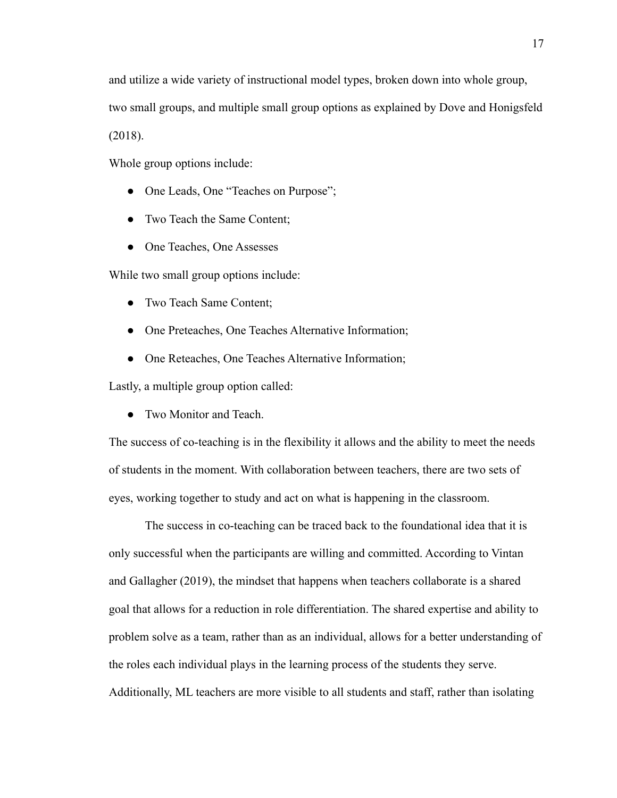and utilize a wide variety of instructional model types, broken down into whole group, two small groups, and multiple small group options as explained by Dove and Honigsfeld (2018).

Whole group options include:

- One Leads, One "Teaches on Purpose";
- Two Teach the Same Content;
- One Teaches, One Assesses

While two small group options include:

- Two Teach Same Content;
- One Preteaches, One Teaches Alternative Information;
- One Reteaches, One Teaches Alternative Information;

Lastly, a multiple group option called:

• Two Monitor and Teach.

The success of co-teaching is in the flexibility it allows and the ability to meet the needs of students in the moment. With collaboration between teachers, there are two sets of eyes, working together to study and act on what is happening in the classroom.

The success in co-teaching can be traced back to the foundational idea that it is only successful when the participants are willing and committed. According to Vintan and Gallagher (2019), the mindset that happens when teachers collaborate is a shared goal that allows for a reduction in role differentiation. The shared expertise and ability to problem solve as a team, rather than as an individual, allows for a better understanding of the roles each individual plays in the learning process of the students they serve. Additionally, ML teachers are more visible to all students and staff, rather than isolating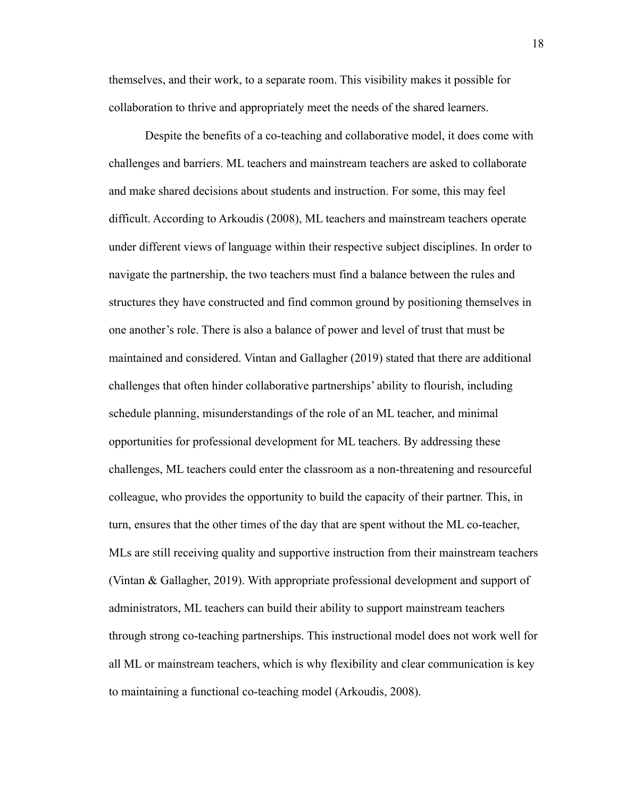themselves, and their work, to a separate room. This visibility makes it possible for collaboration to thrive and appropriately meet the needs of the shared learners.

Despite the benefits of a co-teaching and collaborative model, it does come with challenges and barriers. ML teachers and mainstream teachers are asked to collaborate and make shared decisions about students and instruction. For some, this may feel difficult. According to Arkoudis (2008), ML teachers and mainstream teachers operate under different views of language within their respective subject disciplines. In order to navigate the partnership, the two teachers must find a balance between the rules and structures they have constructed and find common ground by positioning themselves in one another's role. There is also a balance of power and level of trust that must be maintained and considered. Vintan and Gallagher (2019) stated that there are additional challenges that often hinder collaborative partnerships' ability to flourish, including schedule planning, misunderstandings of the role of an ML teacher, and minimal opportunities for professional development for ML teachers. By addressing these challenges, ML teachers could enter the classroom as a non-threatening and resourceful colleague, who provides the opportunity to build the capacity of their partner. This, in turn, ensures that the other times of the day that are spent without the ML co-teacher, MLs are still receiving quality and supportive instruction from their mainstream teachers (Vintan & Gallagher, 2019). With appropriate professional development and support of administrators, ML teachers can build their ability to support mainstream teachers through strong co-teaching partnerships. This instructional model does not work well for all ML or mainstream teachers, which is why flexibility and clear communication is key to maintaining a functional co-teaching model (Arkoudis, 2008).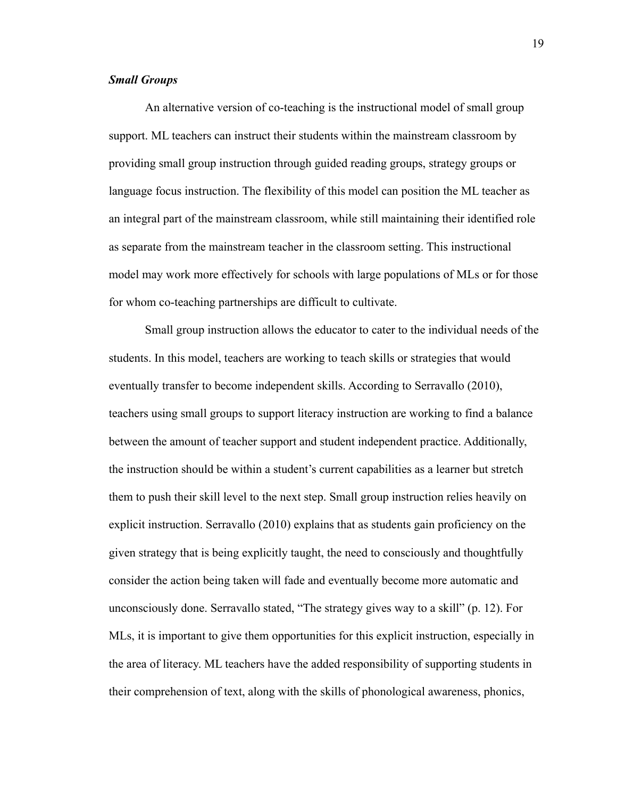#### <span id="page-19-0"></span>*Small Groups*

An alternative version of co-teaching is the instructional model of small group support. ML teachers can instruct their students within the mainstream classroom by providing small group instruction through guided reading groups, strategy groups or language focus instruction. The flexibility of this model can position the ML teacher as an integral part of the mainstream classroom, while still maintaining their identified role as separate from the mainstream teacher in the classroom setting. This instructional model may work more effectively for schools with large populations of MLs or for those for whom co-teaching partnerships are difficult to cultivate.

Small group instruction allows the educator to cater to the individual needs of the students. In this model, teachers are working to teach skills or strategies that would eventually transfer to become independent skills. According to Serravallo (2010), teachers using small groups to support literacy instruction are working to find a balance between the amount of teacher support and student independent practice. Additionally, the instruction should be within a student's current capabilities as a learner but stretch them to push their skill level to the next step. Small group instruction relies heavily on explicit instruction. Serravallo (2010) explains that as students gain proficiency on the given strategy that is being explicitly taught, the need to consciously and thoughtfully consider the action being taken will fade and eventually become more automatic and unconsciously done. Serravallo stated, "The strategy gives way to a skill" (p. 12). For MLs, it is important to give them opportunities for this explicit instruction, especially in the area of literacy. ML teachers have the added responsibility of supporting students in their comprehension of text, along with the skills of phonological awareness, phonics,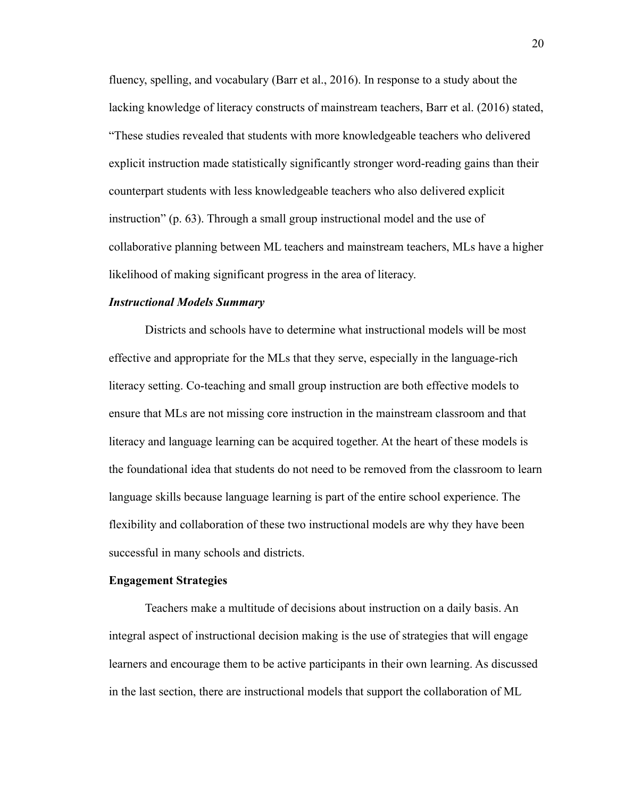fluency, spelling, and vocabulary (Barr et al., 2016). In response to a study about the lacking knowledge of literacy constructs of mainstream teachers, Barr et al. (2016) stated, "These studies revealed that students with more knowledgeable teachers who delivered explicit instruction made statistically significantly stronger word-reading gains than their counterpart students with less knowledgeable teachers who also delivered explicit instruction" (p. 63). Through a small group instructional model and the use of collaborative planning between ML teachers and mainstream teachers, MLs have a higher likelihood of making significant progress in the area of literacy.

#### <span id="page-20-0"></span>*Instructional Models Summary*

Districts and schools have to determine what instructional models will be most effective and appropriate for the MLs that they serve, especially in the language-rich literacy setting. Co-teaching and small group instruction are both effective models to ensure that MLs are not missing core instruction in the mainstream classroom and that literacy and language learning can be acquired together. At the heart of these models is the foundational idea that students do not need to be removed from the classroom to learn language skills because language learning is part of the entire school experience. The flexibility and collaboration of these two instructional models are why they have been successful in many schools and districts.

#### <span id="page-20-1"></span>**Engagement Strategies**

Teachers make a multitude of decisions about instruction on a daily basis. An integral aspect of instructional decision making is the use of strategies that will engage learners and encourage them to be active participants in their own learning. As discussed in the last section, there are instructional models that support the collaboration of ML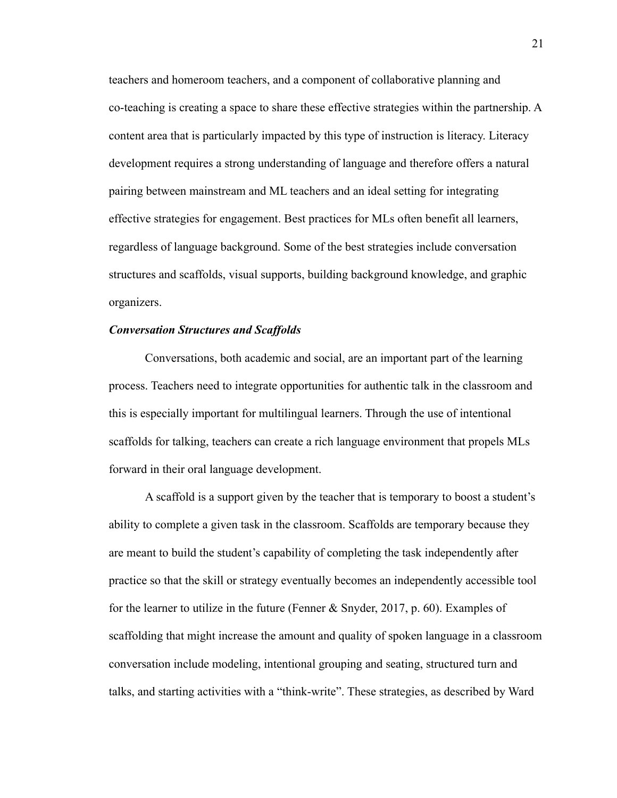teachers and homeroom teachers, and a component of collaborative planning and co-teaching is creating a space to share these effective strategies within the partnership. A content area that is particularly impacted by this type of instruction is literacy. Literacy development requires a strong understanding of language and therefore offers a natural pairing between mainstream and ML teachers and an ideal setting for integrating effective strategies for engagement. Best practices for MLs often benefit all learners, regardless of language background. Some of the best strategies include conversation structures and scaffolds, visual supports, building background knowledge, and graphic organizers.

#### <span id="page-21-0"></span>*Conversation Structures and Scaffolds*

Conversations, both academic and social, are an important part of the learning process. Teachers need to integrate opportunities for authentic talk in the classroom and this is especially important for multilingual learners. Through the use of intentional scaffolds for talking, teachers can create a rich language environment that propels MLs forward in their oral language development.

A scaffold is a support given by the teacher that is temporary to boost a student's ability to complete a given task in the classroom. Scaffolds are temporary because they are meant to build the student's capability of completing the task independently after practice so that the skill or strategy eventually becomes an independently accessible tool for the learner to utilize in the future (Fenner & Snyder, 2017, p. 60). Examples of scaffolding that might increase the amount and quality of spoken language in a classroom conversation include modeling, intentional grouping and seating, structured turn and talks, and starting activities with a "think-write". These strategies, as described by Ward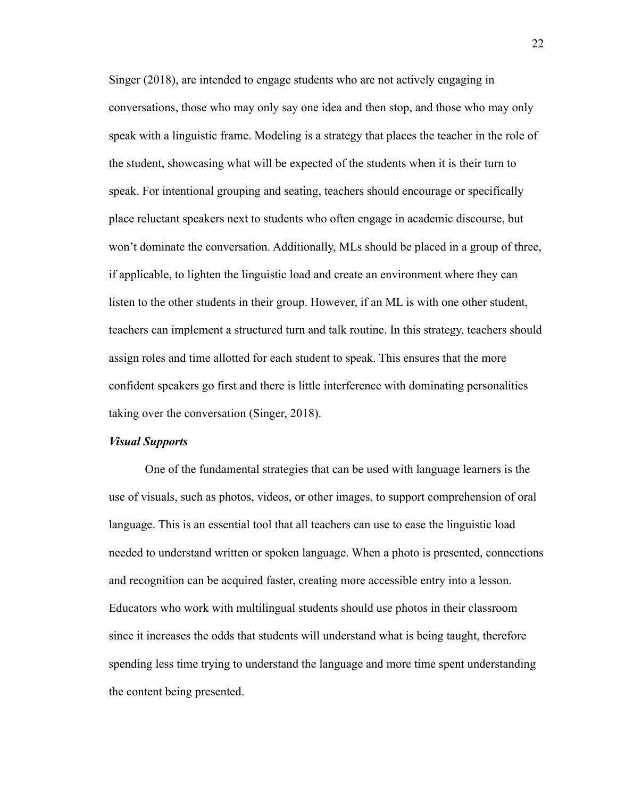Singer (2018), are intended to engage students who are not actively engaging in conversations, those who may only say one idea and then stop, and those who may only speak with a linguistic frame. Modeling is a strategy that places the teacher in the role of the student, showcasing what will be expected of the students when it is their turn to speak. For intentional grouping and seating, teachers should encourage or specifically place reluctant speakers next to students who often engage in academic discourse, but won't dominate the conversation. Additionally, MLs should be placed in a group of three, if applicable, to lighten the linguistic load and create an environment where they can listen to the other students in their group. However, if an ML is with one other student, teachers can implement a structured turn and talk routine. In this strategy, teachers should assign roles and time allotted for each student to speak. This ensures that the more confident speakers go first and there is little interference with dominating personalities taking over the conversation (Singer, 2018).

#### <span id="page-22-0"></span>*Visual Supports*

One of the fundamental strategies that can be used with language learners is the use of visuals, such as photos, videos, or other images, to support comprehension of oral language. This is an essential tool that all teachers can use to ease the linguistic load needed to understand written or spoken language. When a photo is presented, connections and recognition can be acquired faster, creating more accessible entry into a lesson. Educators who work with multilingual students should use photos in their classroom since it increases the odds that students will understand what is being taught, therefore spending less time trying to understand the language and more time spent understanding the content being presented.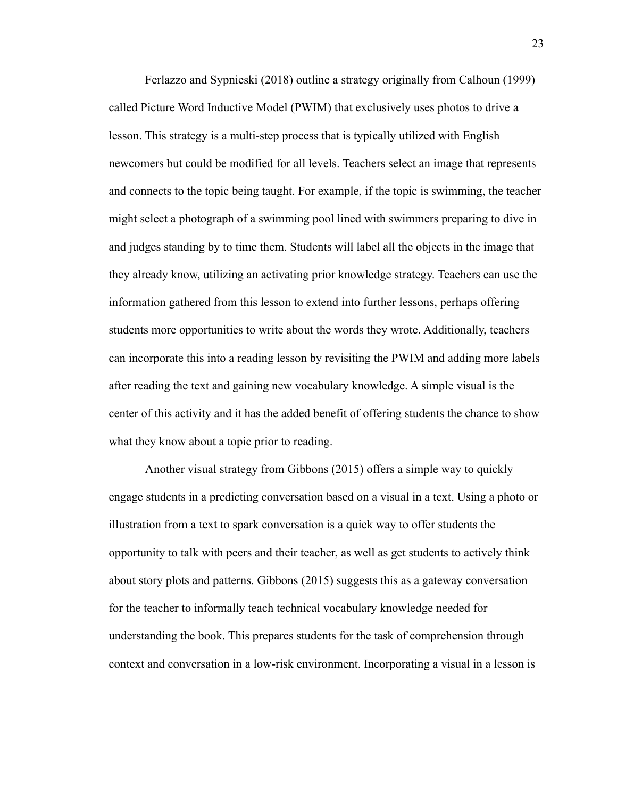Ferlazzo and Sypnieski (2018) outline a strategy originally from Calhoun (1999) called Picture Word Inductive Model (PWIM) that exclusively uses photos to drive a lesson. This strategy is a multi-step process that is typically utilized with English newcomers but could be modified for all levels. Teachers select an image that represents and connects to the topic being taught. For example, if the topic is swimming, the teacher might select a photograph of a swimming pool lined with swimmers preparing to dive in and judges standing by to time them. Students will label all the objects in the image that they already know, utilizing an activating prior knowledge strategy. Teachers can use the information gathered from this lesson to extend into further lessons, perhaps offering students more opportunities to write about the words they wrote. Additionally, teachers can incorporate this into a reading lesson by revisiting the PWIM and adding more labels after reading the text and gaining new vocabulary knowledge. A simple visual is the center of this activity and it has the added benefit of offering students the chance to show what they know about a topic prior to reading.

Another visual strategy from Gibbons (2015) offers a simple way to quickly engage students in a predicting conversation based on a visual in a text. Using a photo or illustration from a text to spark conversation is a quick way to offer students the opportunity to talk with peers and their teacher, as well as get students to actively think about story plots and patterns. Gibbons (2015) suggests this as a gateway conversation for the teacher to informally teach technical vocabulary knowledge needed for understanding the book. This prepares students for the task of comprehension through context and conversation in a low-risk environment. Incorporating a visual in a lesson is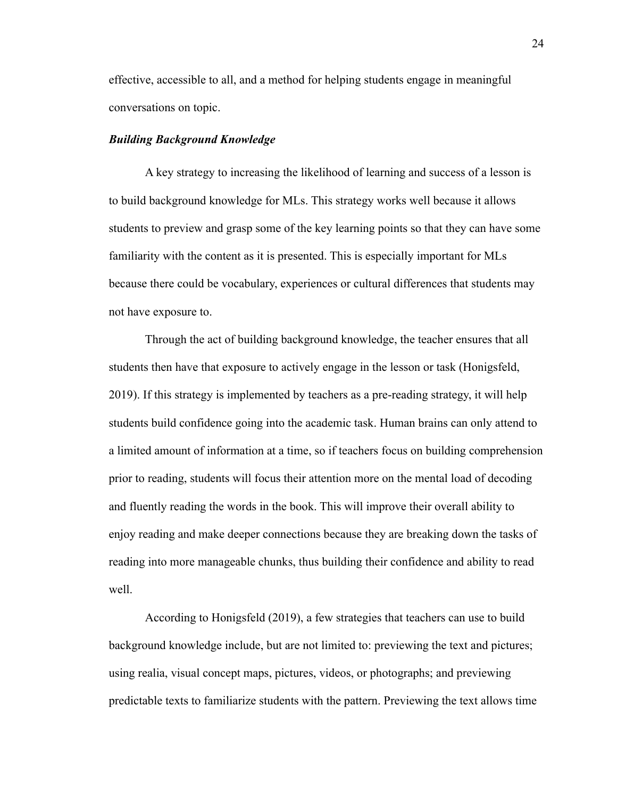effective, accessible to all, and a method for helping students engage in meaningful conversations on topic.

#### <span id="page-24-0"></span>*Building Background Knowledge*

A key strategy to increasing the likelihood of learning and success of a lesson is to build background knowledge for MLs. This strategy works well because it allows students to preview and grasp some of the key learning points so that they can have some familiarity with the content as it is presented. This is especially important for MLs because there could be vocabulary, experiences or cultural differences that students may not have exposure to.

Through the act of building background knowledge, the teacher ensures that all students then have that exposure to actively engage in the lesson or task (Honigsfeld, 2019). If this strategy is implemented by teachers as a pre-reading strategy, it will help students build confidence going into the academic task. Human brains can only attend to a limited amount of information at a time, so if teachers focus on building comprehension prior to reading, students will focus their attention more on the mental load of decoding and fluently reading the words in the book. This will improve their overall ability to enjoy reading and make deeper connections because they are breaking down the tasks of reading into more manageable chunks, thus building their confidence and ability to read well.

According to Honigsfeld (2019), a few strategies that teachers can use to build background knowledge include, but are not limited to: previewing the text and pictures; using realia, visual concept maps, pictures, videos, or photographs; and previewing predictable texts to familiarize students with the pattern. Previewing the text allows time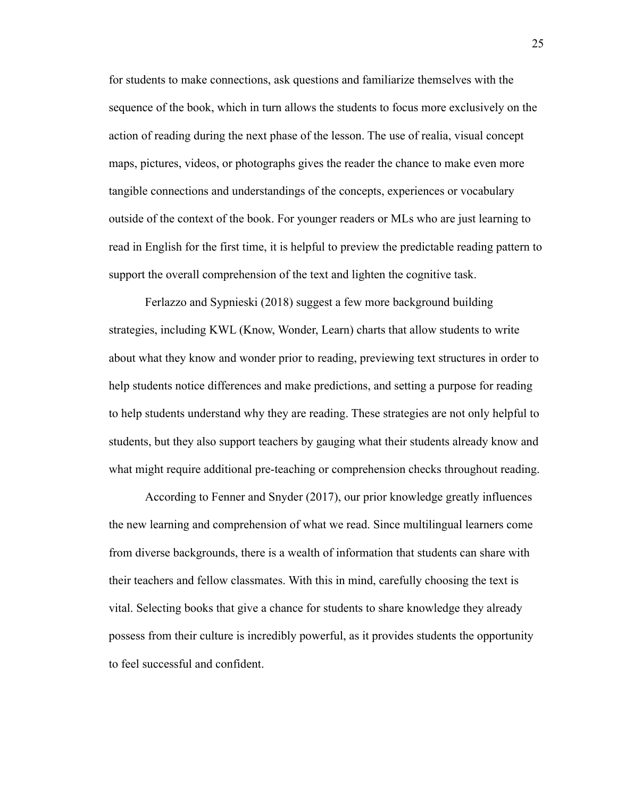for students to make connections, ask questions and familiarize themselves with the sequence of the book, which in turn allows the students to focus more exclusively on the action of reading during the next phase of the lesson. The use of realia, visual concept maps, pictures, videos, or photographs gives the reader the chance to make even more tangible connections and understandings of the concepts, experiences or vocabulary outside of the context of the book. For younger readers or MLs who are just learning to read in English for the first time, it is helpful to preview the predictable reading pattern to support the overall comprehension of the text and lighten the cognitive task.

Ferlazzo and Sypnieski (2018) suggest a few more background building strategies, including KWL (Know, Wonder, Learn) charts that allow students to write about what they know and wonder prior to reading, previewing text structures in order to help students notice differences and make predictions, and setting a purpose for reading to help students understand why they are reading. These strategies are not only helpful to students, but they also support teachers by gauging what their students already know and what might require additional pre-teaching or comprehension checks throughout reading.

According to Fenner and Snyder (2017), our prior knowledge greatly influences the new learning and comprehension of what we read. Since multilingual learners come from diverse backgrounds, there is a wealth of information that students can share with their teachers and fellow classmates. With this in mind, carefully choosing the text is vital. Selecting books that give a chance for students to share knowledge they already possess from their culture is incredibly powerful, as it provides students the opportunity to feel successful and confident.

25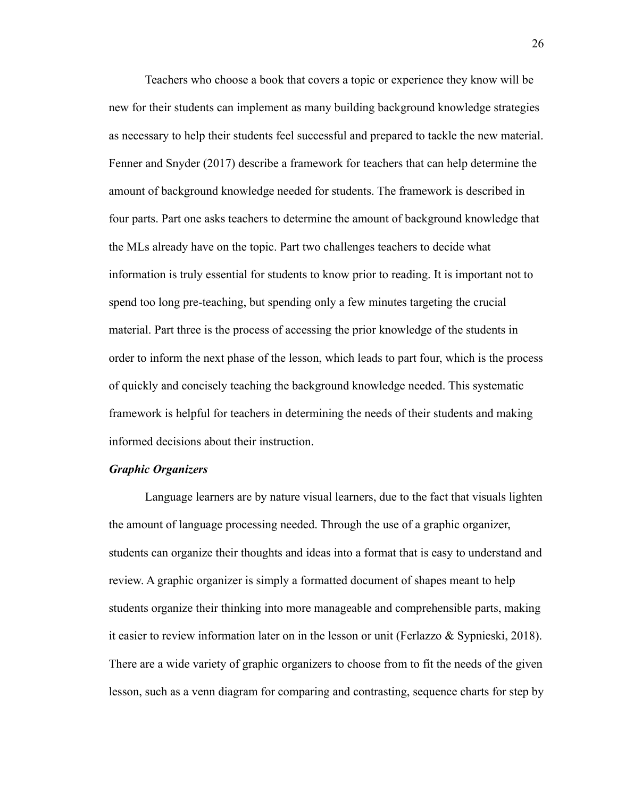Teachers who choose a book that covers a topic or experience they know will be new for their students can implement as many building background knowledge strategies as necessary to help their students feel successful and prepared to tackle the new material. Fenner and Snyder (2017) describe a framework for teachers that can help determine the amount of background knowledge needed for students. The framework is described in four parts. Part one asks teachers to determine the amount of background knowledge that the MLs already have on the topic. Part two challenges teachers to decide what information is truly essential for students to know prior to reading. It is important not to spend too long pre-teaching, but spending only a few minutes targeting the crucial material. Part three is the process of accessing the prior knowledge of the students in order to inform the next phase of the lesson, which leads to part four, which is the process of quickly and concisely teaching the background knowledge needed. This systematic framework is helpful for teachers in determining the needs of their students and making informed decisions about their instruction.

#### <span id="page-26-0"></span>*Graphic Organizers*

Language learners are by nature visual learners, due to the fact that visuals lighten the amount of language processing needed. Through the use of a graphic organizer, students can organize their thoughts and ideas into a format that is easy to understand and review. A graphic organizer is simply a formatted document of shapes meant to help students organize their thinking into more manageable and comprehensible parts, making it easier to review information later on in the lesson or unit (Ferlazzo  $\&$  Sypnieski, 2018). There are a wide variety of graphic organizers to choose from to fit the needs of the given lesson, such as a venn diagram for comparing and contrasting, sequence charts for step by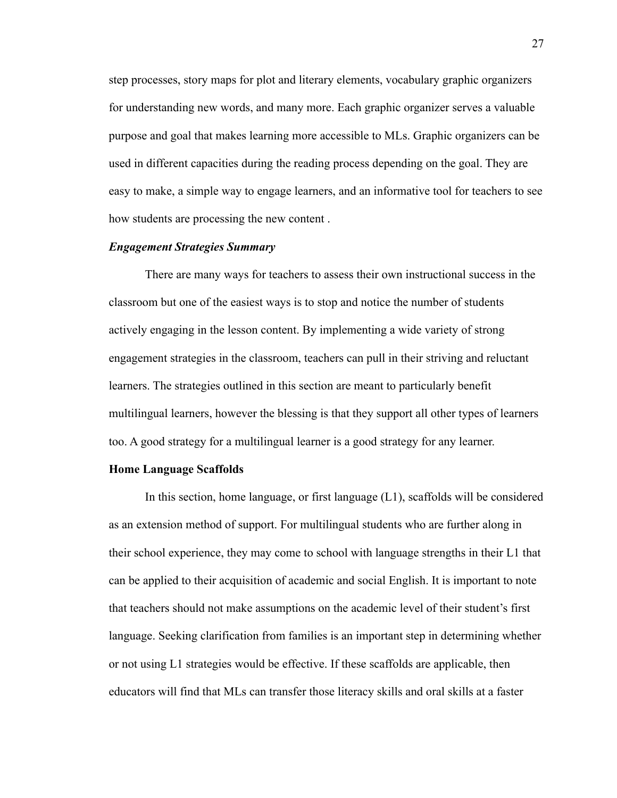step processes, story maps for plot and literary elements, vocabulary graphic organizers for understanding new words, and many more. Each graphic organizer serves a valuable purpose and goal that makes learning more accessible to MLs. Graphic organizers can be used in different capacities during the reading process depending on the goal. They are easy to make, a simple way to engage learners, and an informative tool for teachers to see how students are processing the new content .

#### <span id="page-27-0"></span>*Engagement Strategies Summary*

There are many ways for teachers to assess their own instructional success in the classroom but one of the easiest ways is to stop and notice the number of students actively engaging in the lesson content. By implementing a wide variety of strong engagement strategies in the classroom, teachers can pull in their striving and reluctant learners. The strategies outlined in this section are meant to particularly benefit multilingual learners, however the blessing is that they support all other types of learners too. A good strategy for a multilingual learner is a good strategy for any learner.

#### <span id="page-27-1"></span>**Home Language Scaffolds**

In this section, home language, or first language (L1), scaffolds will be considered as an extension method of support. For multilingual students who are further along in their school experience, they may come to school with language strengths in their L1 that can be applied to their acquisition of academic and social English. It is important to note that teachers should not make assumptions on the academic level of their student's first language. Seeking clarification from families is an important step in determining whether or not using L1 strategies would be effective. If these scaffolds are applicable, then educators will find that MLs can transfer those literacy skills and oral skills at a faster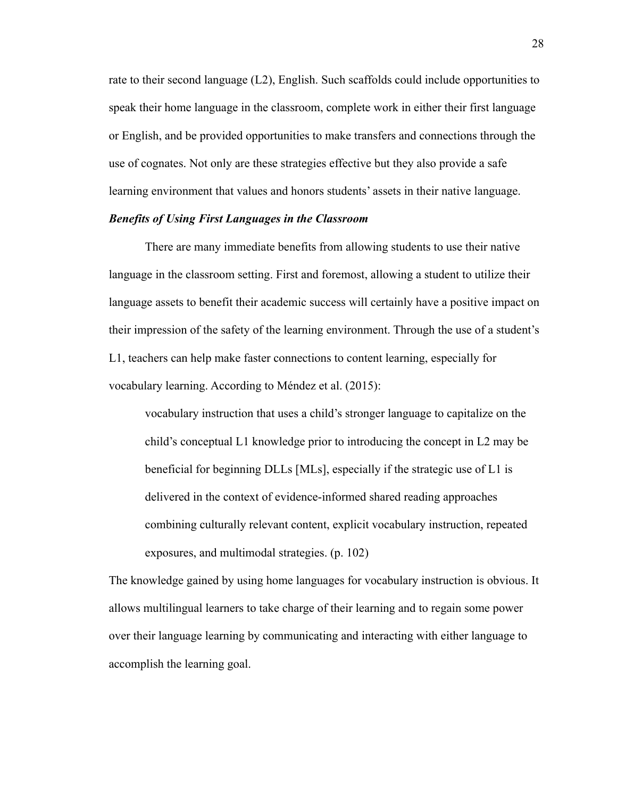rate to their second language (L2), English. Such scaffolds could include opportunities to speak their home language in the classroom, complete work in either their first language or English, and be provided opportunities to make transfers and connections through the use of cognates. Not only are these strategies effective but they also provide a safe learning environment that values and honors students' assets in their native language.

#### <span id="page-28-0"></span>*Benefits of Using First Languages in the Classroom*

There are many immediate benefits from allowing students to use their native language in the classroom setting. First and foremost, allowing a student to utilize their language assets to benefit their academic success will certainly have a positive impact on their impression of the safety of the learning environment. Through the use of a student's L1, teachers can help make faster connections to content learning, especially for vocabulary learning. According to Méndez et al. (2015):

vocabulary instruction that uses a child's stronger language to capitalize on the child's conceptual L1 knowledge prior to introducing the concept in L2 may be beneficial for beginning DLLs [MLs], especially if the strategic use of L1 is delivered in the context of evidence-informed shared reading approaches combining culturally relevant content, explicit vocabulary instruction, repeated exposures, and multimodal strategies. (p. 102)

The knowledge gained by using home languages for vocabulary instruction is obvious. It allows multilingual learners to take charge of their learning and to regain some power over their language learning by communicating and interacting with either language to accomplish the learning goal.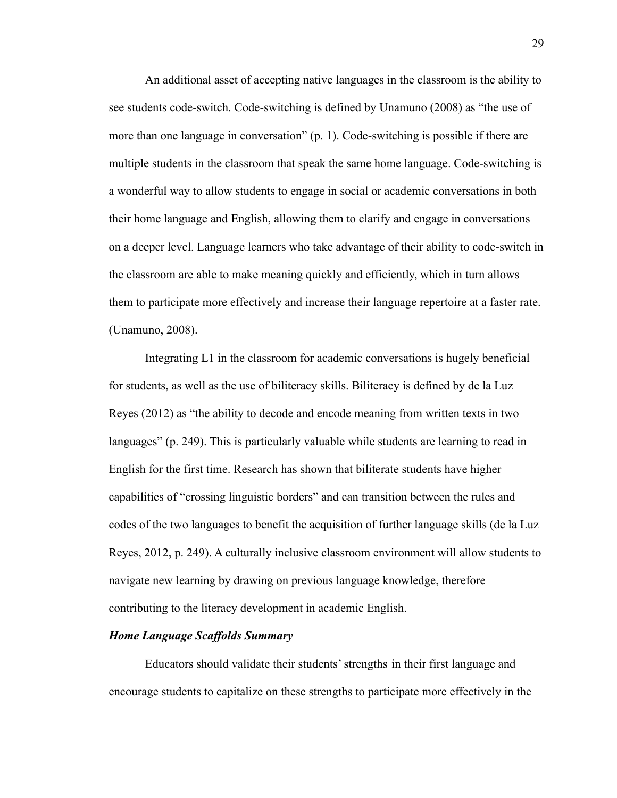An additional asset of accepting native languages in the classroom is the ability to see students code-switch. Code-switching is defined by Unamuno (2008) as "the use of more than one language in conversation" (p. 1). Code-switching is possible if there are multiple students in the classroom that speak the same home language. Code-switching is a wonderful way to allow students to engage in social or academic conversations in both their home language and English, allowing them to clarify and engage in conversations on a deeper level. Language learners who take advantage of their ability to code-switch in the classroom are able to make meaning quickly and efficiently, which in turn allows them to participate more effectively and increase their language repertoire at a faster rate. (Unamuno, 2008).

Integrating L1 in the classroom for academic conversations is hugely beneficial for students, as well as the use of biliteracy skills. Biliteracy is defined by de la Luz Reyes (2012) as "the ability to decode and encode meaning from written texts in two languages" (p. 249). This is particularly valuable while students are learning to read in English for the first time. Research has shown that biliterate students have higher capabilities of "crossing linguistic borders" and can transition between the rules and codes of the two languages to benefit the acquisition of further language skills (de la Luz Reyes, 2012, p. 249). A culturally inclusive classroom environment will allow students to navigate new learning by drawing on previous language knowledge, therefore contributing to the literacy development in academic English.

#### <span id="page-29-0"></span>*Home Language Scaffolds Summary*

Educators should validate their students' strengths in their first language and encourage students to capitalize on these strengths to participate more effectively in the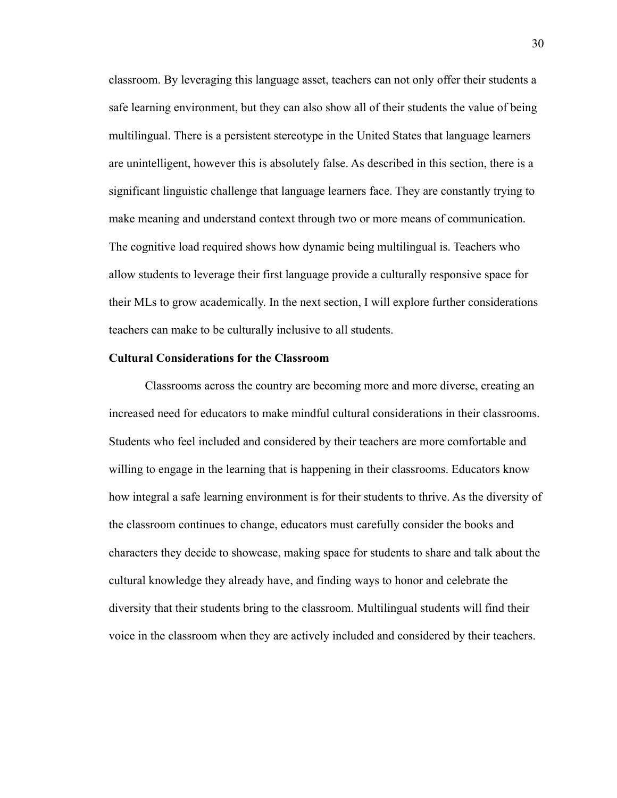classroom. By leveraging this language asset, teachers can not only offer their students a safe learning environment, but they can also show all of their students the value of being multilingual. There is a persistent stereotype in the United States that language learners are unintelligent, however this is absolutely false. As described in this section, there is a significant linguistic challenge that language learners face. They are constantly trying to make meaning and understand context through two or more means of communication. The cognitive load required shows how dynamic being multilingual is. Teachers who allow students to leverage their first language provide a culturally responsive space for their MLs to grow academically. In the next section, I will explore further considerations teachers can make to be culturally inclusive to all students.

#### <span id="page-30-0"></span>**Cultural Considerations for the Classroom**

Classrooms across the country are becoming more and more diverse, creating an increased need for educators to make mindful cultural considerations in their classrooms. Students who feel included and considered by their teachers are more comfortable and willing to engage in the learning that is happening in their classrooms. Educators know how integral a safe learning environment is for their students to thrive. As the diversity of the classroom continues to change, educators must carefully consider the books and characters they decide to showcase, making space for students to share and talk about the cultural knowledge they already have, and finding ways to honor and celebrate the diversity that their students bring to the classroom. Multilingual students will find their voice in the classroom when they are actively included and considered by their teachers.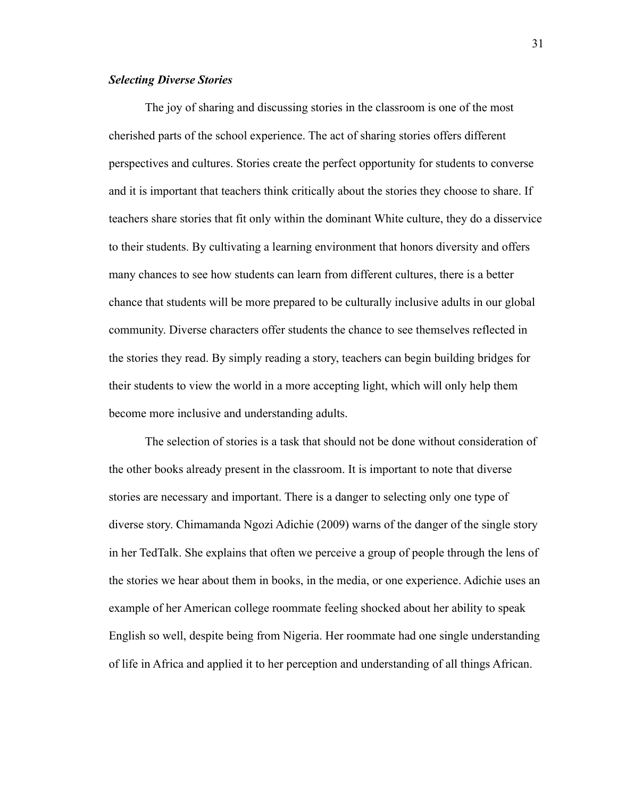#### <span id="page-31-0"></span>*Selecting Diverse Stories*

The joy of sharing and discussing stories in the classroom is one of the most cherished parts of the school experience. The act of sharing stories offers different perspectives and cultures. Stories create the perfect opportunity for students to converse and it is important that teachers think critically about the stories they choose to share. If teachers share stories that fit only within the dominant White culture, they do a disservice to their students. By cultivating a learning environment that honors diversity and offers many chances to see how students can learn from different cultures, there is a better chance that students will be more prepared to be culturally inclusive adults in our global community. Diverse characters offer students the chance to see themselves reflected in the stories they read. By simply reading a story, teachers can begin building bridges for their students to view the world in a more accepting light, which will only help them become more inclusive and understanding adults.

The selection of stories is a task that should not be done without consideration of the other books already present in the classroom. It is important to note that diverse stories are necessary and important. There is a danger to selecting only one type of diverse story. Chimamanda Ngozi Adichie (2009) warns of the danger of the single story in her TedTalk. She explains that often we perceive a group of people through the lens of the stories we hear about them in books, in the media, or one experience. Adichie uses an example of her American college roommate feeling shocked about her ability to speak English so well, despite being from Nigeria. Her roommate had one single understanding of life in Africa and applied it to her perception and understanding of all things African.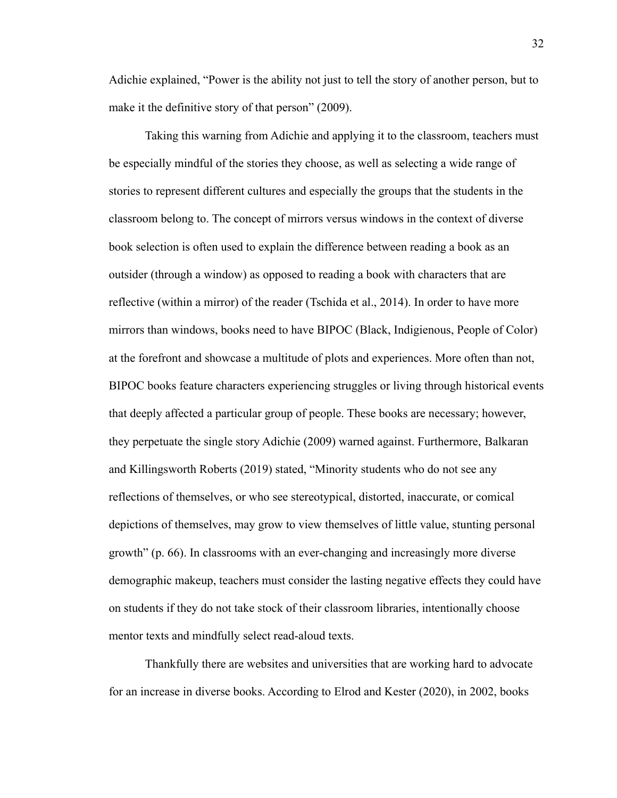Adichie explained, "Power is the ability not just to tell the story of another person, but to make it the definitive story of that person" (2009).

Taking this warning from Adichie and applying it to the classroom, teachers must be especially mindful of the stories they choose, as well as selecting a wide range of stories to represent different cultures and especially the groups that the students in the classroom belong to. The concept of mirrors versus windows in the context of diverse book selection is often used to explain the difference between reading a book as an outsider (through a window) as opposed to reading a book with characters that are reflective (within a mirror) of the reader (Tschida et al., 2014). In order to have more mirrors than windows, books need to have BIPOC (Black, Indigienous, People of Color) at the forefront and showcase a multitude of plots and experiences. More often than not, BIPOC books feature characters experiencing struggles or living through historical events that deeply affected a particular group of people. These books are necessary; however, they perpetuate the single story Adichie (2009) warned against. Furthermore, Balkaran and Killingsworth Roberts (2019) stated, "Minority students who do not see any reflections of themselves, or who see stereotypical, distorted, inaccurate, or comical depictions of themselves, may grow to view themselves of little value, stunting personal growth" (p. 66). In classrooms with an ever-changing and increasingly more diverse demographic makeup, teachers must consider the lasting negative effects they could have on students if they do not take stock of their classroom libraries, intentionally choose mentor texts and mindfully select read-aloud texts.

Thankfully there are websites and universities that are working hard to advocate for an increase in diverse books. According to Elrod and Kester (2020), in 2002, books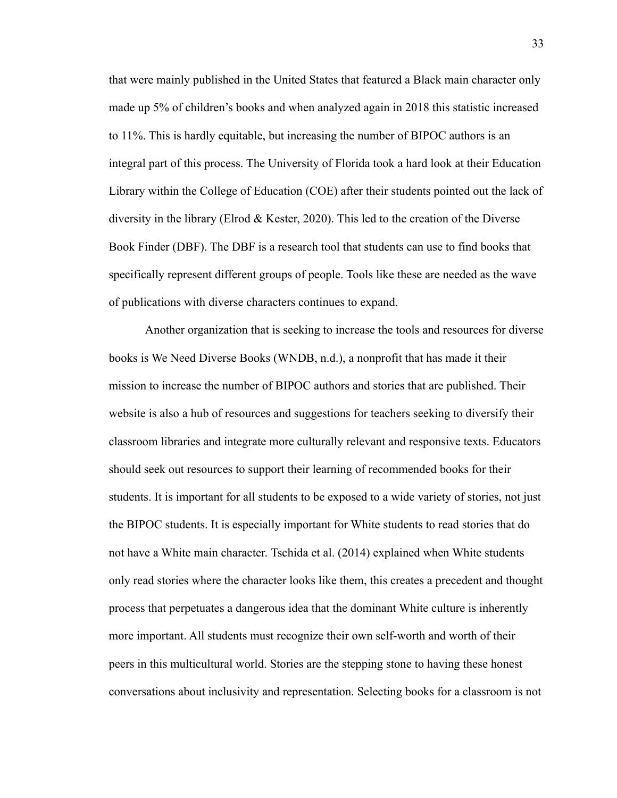that were mainly published in the United States that featured a Black main character only made up 5% of children's books and when analyzed again in 2018 this statistic increased to 11%. This is hardly equitable, but increasing the number of BIPOC authors is an integral part of this process. The University of Florida took a hard look at their Education Library within the College of Education (COE) after their students pointed out the lack of diversity in the library (Elrod & Kester, 2020). This led to the creation of the Diverse Book Finder (DBF). The DBF is a research tool that students can use to find books that specifically represent different groups of people. Tools like these are needed as the wave of publications with diverse characters continues to expand.

Another organization that is seeking to increase the tools and resources for diverse books is We Need Diverse Books (WNDB, n.d.), a nonprofit that has made it their mission to increase the number of BIPOC authors and stories that are published. Their website is also a hub of resources and suggestions for teachers seeking to diversify their classroom libraries and integrate more culturally relevant and responsive texts. Educators should seek out resources to support their learning of recommended books for their students. It is important for all students to be exposed to a wide variety of stories, not just the BIPOC students. It is especially important for White students to read stories that do not have a White main character. Tschida et al. (2014) explained when White students only read stories where the character looks like them, this creates a precedent and thought process that perpetuates a dangerous idea that the dominant White culture is inherently more important. All students must recognize their own self-worth and worth of their peers in this multicultural world. Stories are the stepping stone to having these honest conversations about inclusivity and representation. Selecting books for a classroom is not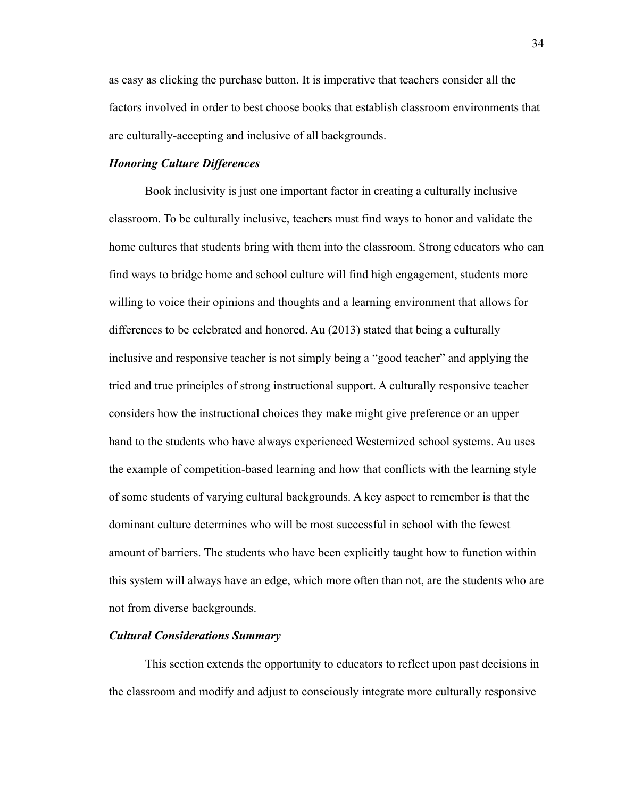as easy as clicking the purchase button. It is imperative that teachers consider all the factors involved in order to best choose books that establish classroom environments that are culturally-accepting and inclusive of all backgrounds.

#### <span id="page-34-0"></span>*Honoring Culture Differences*

Book inclusivity is just one important factor in creating a culturally inclusive classroom. To be culturally inclusive, teachers must find ways to honor and validate the home cultures that students bring with them into the classroom. Strong educators who can find ways to bridge home and school culture will find high engagement, students more willing to voice their opinions and thoughts and a learning environment that allows for differences to be celebrated and honored. Au (2013) stated that being a culturally inclusive and responsive teacher is not simply being a "good teacher" and applying the tried and true principles of strong instructional support. A culturally responsive teacher considers how the instructional choices they make might give preference or an upper hand to the students who have always experienced Westernized school systems. Au uses the example of competition-based learning and how that conflicts with the learning style of some students of varying cultural backgrounds. A key aspect to remember is that the dominant culture determines who will be most successful in school with the fewest amount of barriers. The students who have been explicitly taught how to function within this system will always have an edge, which more often than not, are the students who are not from diverse backgrounds.

#### <span id="page-34-1"></span>*Cultural Considerations Summary*

This section extends the opportunity to educators to reflect upon past decisions in the classroom and modify and adjust to consciously integrate more culturally responsive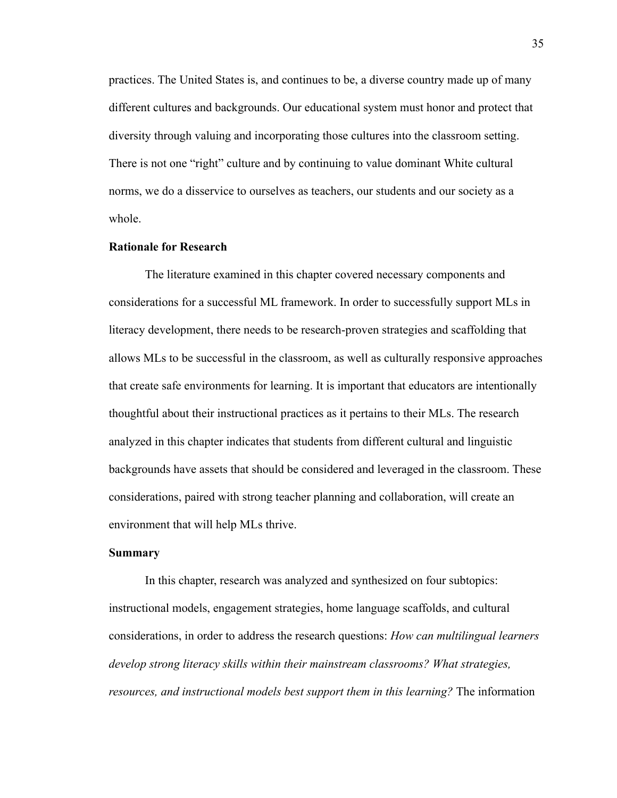practices. The United States is, and continues to be, a diverse country made up of many different cultures and backgrounds. Our educational system must honor and protect that diversity through valuing and incorporating those cultures into the classroom setting. There is not one "right" culture and by continuing to value dominant White cultural norms, we do a disservice to ourselves as teachers, our students and our society as a whole.

#### <span id="page-35-0"></span>**Rationale for Research**

The literature examined in this chapter covered necessary components and considerations for a successful ML framework. In order to successfully support MLs in literacy development, there needs to be research-proven strategies and scaffolding that allows MLs to be successful in the classroom, as well as culturally responsive approaches that create safe environments for learning. It is important that educators are intentionally thoughtful about their instructional practices as it pertains to their MLs. The research analyzed in this chapter indicates that students from different cultural and linguistic backgrounds have assets that should be considered and leveraged in the classroom. These considerations, paired with strong teacher planning and collaboration, will create an environment that will help MLs thrive.

#### <span id="page-35-1"></span>**Summary**

In this chapter, research was analyzed and synthesized on four subtopics: instructional models, engagement strategies, home language scaffolds, and cultural considerations, in order to address the research questions: *How can multilingual learners develop strong literacy skills within their mainstream classrooms? What strategies, resources, and instructional models best support them in this learning?* The information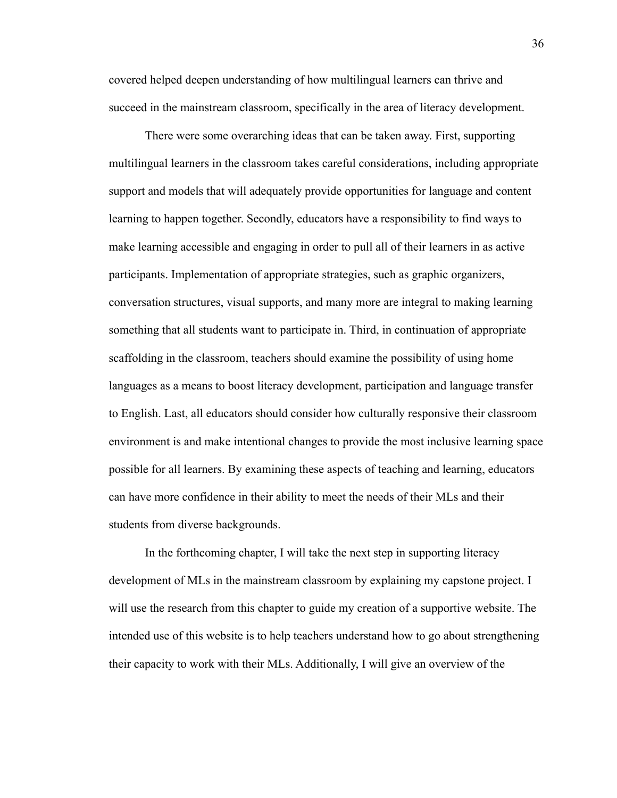covered helped deepen understanding of how multilingual learners can thrive and succeed in the mainstream classroom, specifically in the area of literacy development.

There were some overarching ideas that can be taken away. First, supporting multilingual learners in the classroom takes careful considerations, including appropriate support and models that will adequately provide opportunities for language and content learning to happen together. Secondly, educators have a responsibility to find ways to make learning accessible and engaging in order to pull all of their learners in as active participants. Implementation of appropriate strategies, such as graphic organizers, conversation structures, visual supports, and many more are integral to making learning something that all students want to participate in. Third, in continuation of appropriate scaffolding in the classroom, teachers should examine the possibility of using home languages as a means to boost literacy development, participation and language transfer to English. Last, all educators should consider how culturally responsive their classroom environment is and make intentional changes to provide the most inclusive learning space possible for all learners. By examining these aspects of teaching and learning, educators can have more confidence in their ability to meet the needs of their MLs and their students from diverse backgrounds.

In the forthcoming chapter, I will take the next step in supporting literacy development of MLs in the mainstream classroom by explaining my capstone project. I will use the research from this chapter to guide my creation of a supportive website. The intended use of this website is to help teachers understand how to go about strengthening their capacity to work with their MLs. Additionally, I will give an overview of the

36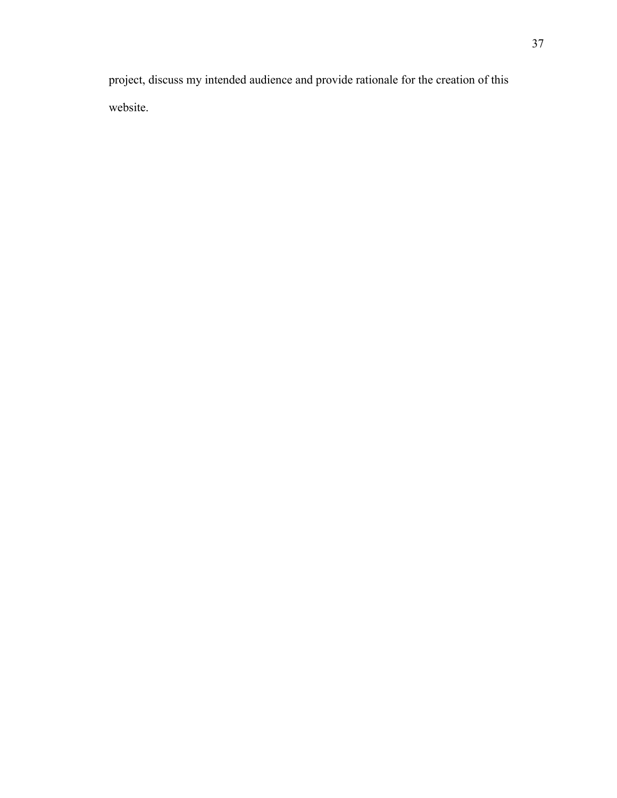project, discuss my intended audience and provide rationale for the creation of this website.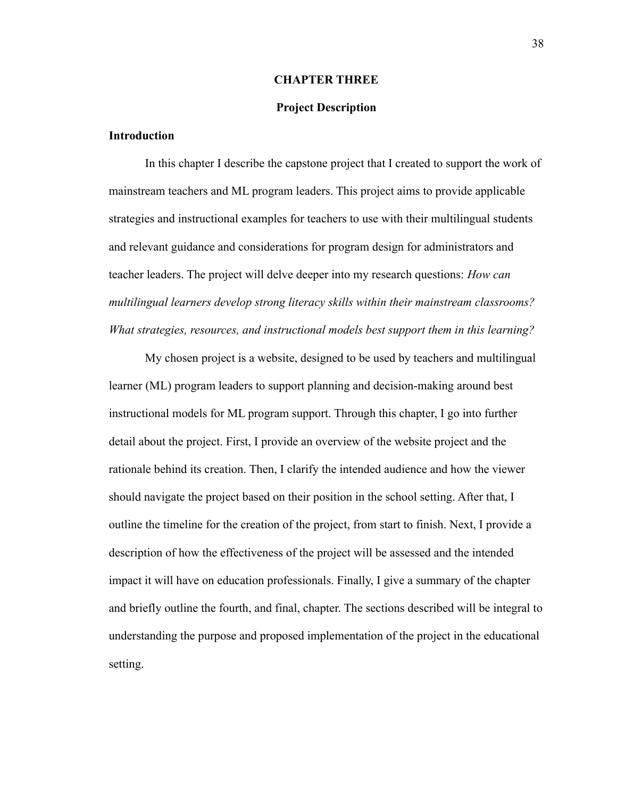#### **CHAPTER THREE**

#### **Project Description**

#### <span id="page-38-2"></span><span id="page-38-1"></span><span id="page-38-0"></span>**Introduction**

In this chapter I describe the capstone project that I created to support the work of mainstream teachers and ML program leaders. This project aims to provide applicable strategies and instructional examples for teachers to use with their multilingual students and relevant guidance and considerations for program design for administrators and teacher leaders. The project will delve deeper into my research questions: *How can multilingual learners develop strong literacy skills within their mainstream classrooms? What strategies, resources, and instructional models best support them in this learning?*

My chosen project is a website, designed to be used by teachers and multilingual learner (ML) program leaders to support planning and decision-making around best instructional models for ML program support. Through this chapter, I go into further detail about the project. First, I provide an overview of the website project and the rationale behind its creation. Then, I clarify the intended audience and how the viewer should navigate the project based on their position in the school setting. After that, I outline the timeline for the creation of the project, from start to finish. Next, I provide a description of how the effectiveness of the project will be assessed and the intended impact it will have on education professionals. Finally, I give a summary of the chapter and briefly outline the fourth, and final, chapter. The sections described will be integral to understanding the purpose and proposed implementation of the project in the educational setting.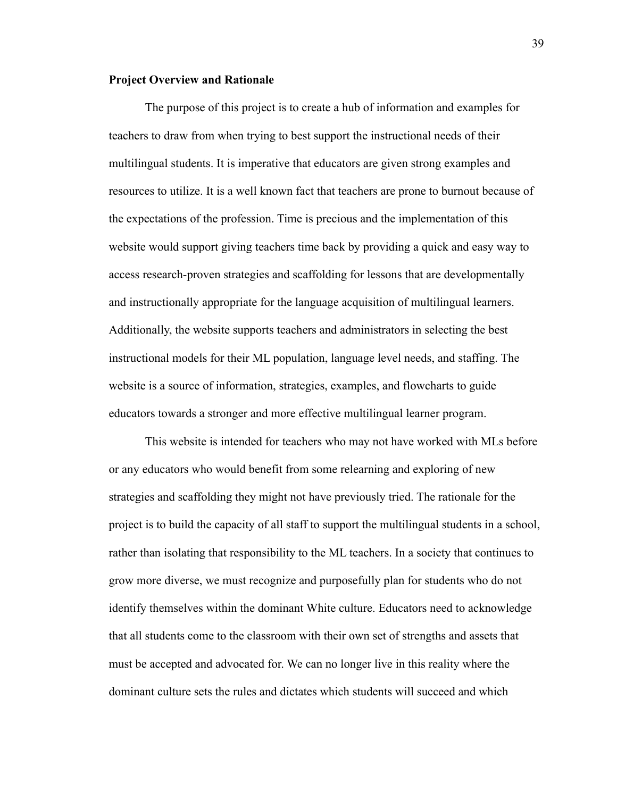#### <span id="page-39-0"></span>**Project Overview and Rationale**

The purpose of this project is to create a hub of information and examples for teachers to draw from when trying to best support the instructional needs of their multilingual students. It is imperative that educators are given strong examples and resources to utilize. It is a well known fact that teachers are prone to burnout because of the expectations of the profession. Time is precious and the implementation of this website would support giving teachers time back by providing a quick and easy way to access research-proven strategies and scaffolding for lessons that are developmentally and instructionally appropriate for the language acquisition of multilingual learners. Additionally, the website supports teachers and administrators in selecting the best instructional models for their ML population, language level needs, and staffing. The website is a source of information, strategies, examples, and flowcharts to guide educators towards a stronger and more effective multilingual learner program.

This website is intended for teachers who may not have worked with MLs before or any educators who would benefit from some relearning and exploring of new strategies and scaffolding they might not have previously tried. The rationale for the project is to build the capacity of all staff to support the multilingual students in a school, rather than isolating that responsibility to the ML teachers. In a society that continues to grow more diverse, we must recognize and purposefully plan for students who do not identify themselves within the dominant White culture. Educators need to acknowledge that all students come to the classroom with their own set of strengths and assets that must be accepted and advocated for. We can no longer live in this reality where the dominant culture sets the rules and dictates which students will succeed and which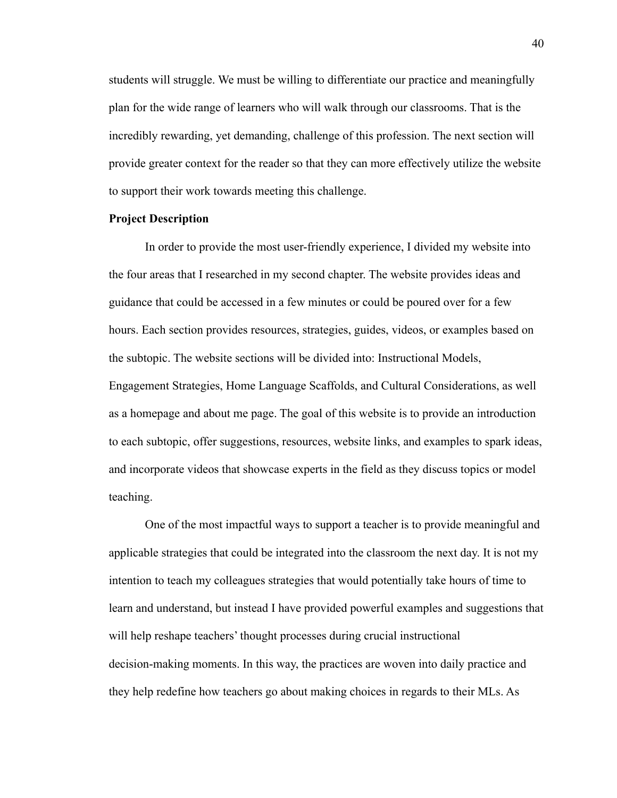students will struggle. We must be willing to differentiate our practice and meaningfully plan for the wide range of learners who will walk through our classrooms. That is the incredibly rewarding, yet demanding, challenge of this profession. The next section will provide greater context for the reader so that they can more effectively utilize the website to support their work towards meeting this challenge.

#### <span id="page-40-0"></span>**Project Description**

In order to provide the most user-friendly experience, I divided my website into the four areas that I researched in my second chapter. The website provides ideas and guidance that could be accessed in a few minutes or could be poured over for a few hours. Each section provides resources, strategies, guides, videos, or examples based on the subtopic. The website sections will be divided into: Instructional Models, Engagement Strategies, Home Language Scaffolds, and Cultural Considerations, as well as a homepage and about me page. The goal of this website is to provide an introduction to each subtopic, offer suggestions, resources, website links, and examples to spark ideas, and incorporate videos that showcase experts in the field as they discuss topics or model teaching.

One of the most impactful ways to support a teacher is to provide meaningful and applicable strategies that could be integrated into the classroom the next day. It is not my intention to teach my colleagues strategies that would potentially take hours of time to learn and understand, but instead I have provided powerful examples and suggestions that will help reshape teachers' thought processes during crucial instructional decision-making moments. In this way, the practices are woven into daily practice and they help redefine how teachers go about making choices in regards to their MLs. As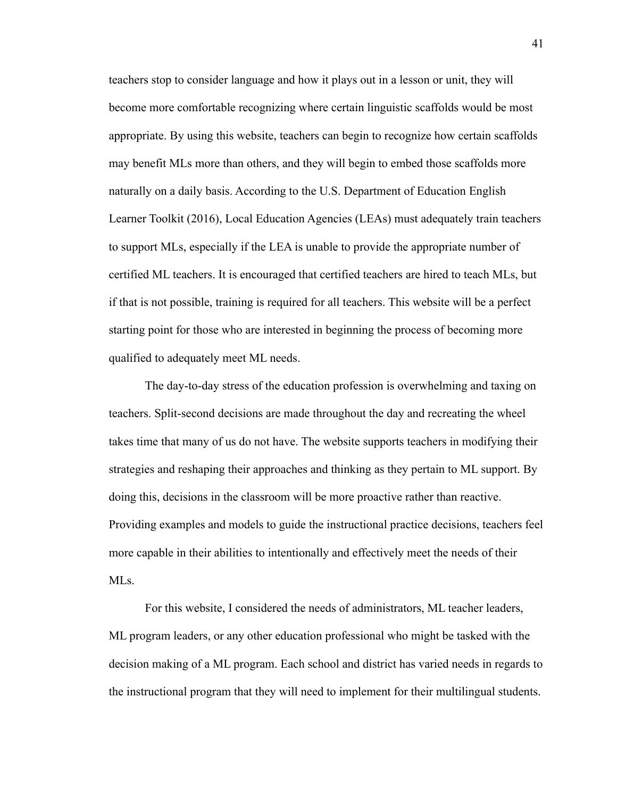teachers stop to consider language and how it plays out in a lesson or unit, they will become more comfortable recognizing where certain linguistic scaffolds would be most appropriate. By using this website, teachers can begin to recognize how certain scaffolds may benefit MLs more than others, and they will begin to embed those scaffolds more naturally on a daily basis. According to the U.S. Department of Education English Learner Toolkit (2016), Local Education Agencies (LEAs) must adequately train teachers to support MLs, especially if the LEA is unable to provide the appropriate number of certified ML teachers. It is encouraged that certified teachers are hired to teach MLs, but if that is not possible, training is required for all teachers. This website will be a perfect starting point for those who are interested in beginning the process of becoming more qualified to adequately meet ML needs.

The day-to-day stress of the education profession is overwhelming and taxing on teachers. Split-second decisions are made throughout the day and recreating the wheel takes time that many of us do not have. The website supports teachers in modifying their strategies and reshaping their approaches and thinking as they pertain to ML support. By doing this, decisions in the classroom will be more proactive rather than reactive. Providing examples and models to guide the instructional practice decisions, teachers feel more capable in their abilities to intentionally and effectively meet the needs of their MLs.

For this website, I considered the needs of administrators, ML teacher leaders, ML program leaders, or any other education professional who might be tasked with the decision making of a ML program. Each school and district has varied needs in regards to the instructional program that they will need to implement for their multilingual students.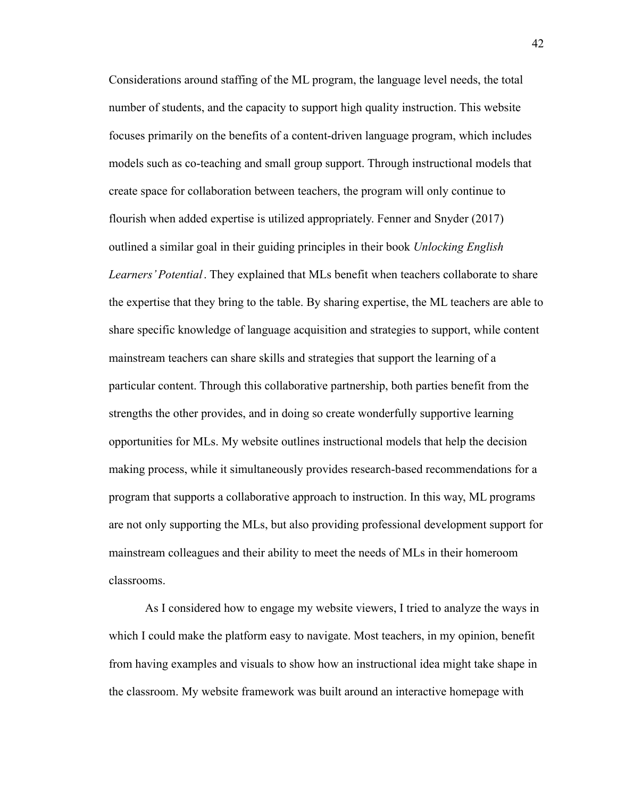Considerations around staffing of the ML program, the language level needs, the total number of students, and the capacity to support high quality instruction. This website focuses primarily on the benefits of a content-driven language program, which includes models such as co-teaching and small group support. Through instructional models that create space for collaboration between teachers, the program will only continue to flourish when added expertise is utilized appropriately. Fenner and Snyder (2017) outlined a similar goal in their guiding principles in their book *Unlocking English Learners' Potential*. They explained that MLs benefit when teachers collaborate to share the expertise that they bring to the table. By sharing expertise, the ML teachers are able to share specific knowledge of language acquisition and strategies to support, while content mainstream teachers can share skills and strategies that support the learning of a particular content. Through this collaborative partnership, both parties benefit from the strengths the other provides, and in doing so create wonderfully supportive learning opportunities for MLs. My website outlines instructional models that help the decision making process, while it simultaneously provides research-based recommendations for a program that supports a collaborative approach to instruction. In this way, ML programs are not only supporting the MLs, but also providing professional development support for mainstream colleagues and their ability to meet the needs of MLs in their homeroom classrooms.

As I considered how to engage my website viewers, I tried to analyze the ways in which I could make the platform easy to navigate. Most teachers, in my opinion, benefit from having examples and visuals to show how an instructional idea might take shape in the classroom. My website framework was built around an interactive homepage with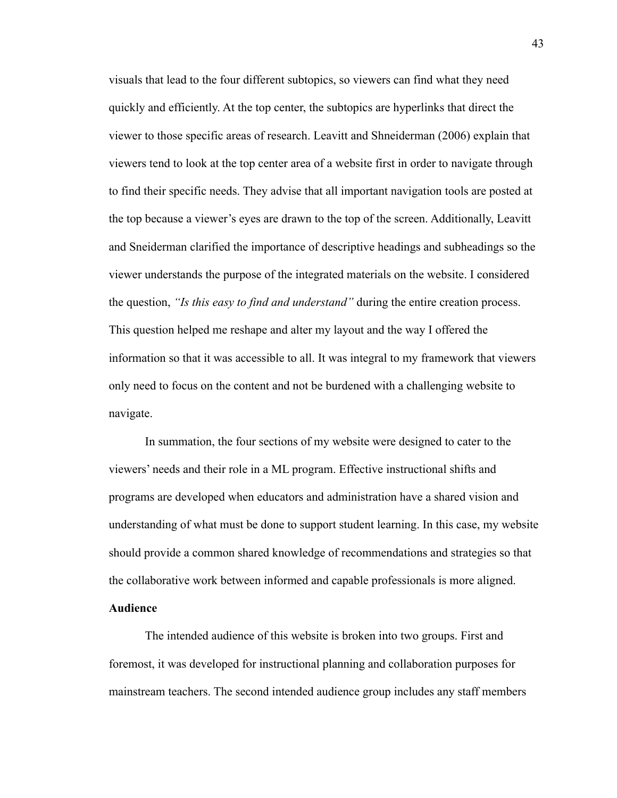visuals that lead to the four different subtopics, so viewers can find what they need quickly and efficiently. At the top center, the subtopics are hyperlinks that direct the viewer to those specific areas of research. Leavitt and Shneiderman (2006) explain that viewers tend to look at the top center area of a website first in order to navigate through to find their specific needs. They advise that all important navigation tools are posted at the top because a viewer's eyes are drawn to the top of the screen. Additionally, Leavitt and Sneiderman clarified the importance of descriptive headings and subheadings so the viewer understands the purpose of the integrated materials on the website. I considered the question, *"Is this easy to find and understand"* during the entire creation process. This question helped me reshape and alter my layout and the way I offered the information so that it was accessible to all. It was integral to my framework that viewers only need to focus on the content and not be burdened with a challenging website to navigate.

In summation, the four sections of my website were designed to cater to the viewers' needs and their role in a ML program. Effective instructional shifts and programs are developed when educators and administration have a shared vision and understanding of what must be done to support student learning. In this case, my website should provide a common shared knowledge of recommendations and strategies so that the collaborative work between informed and capable professionals is more aligned. **Audience**

<span id="page-43-0"></span>The intended audience of this website is broken into two groups. First and foremost, it was developed for instructional planning and collaboration purposes for mainstream teachers. The second intended audience group includes any staff members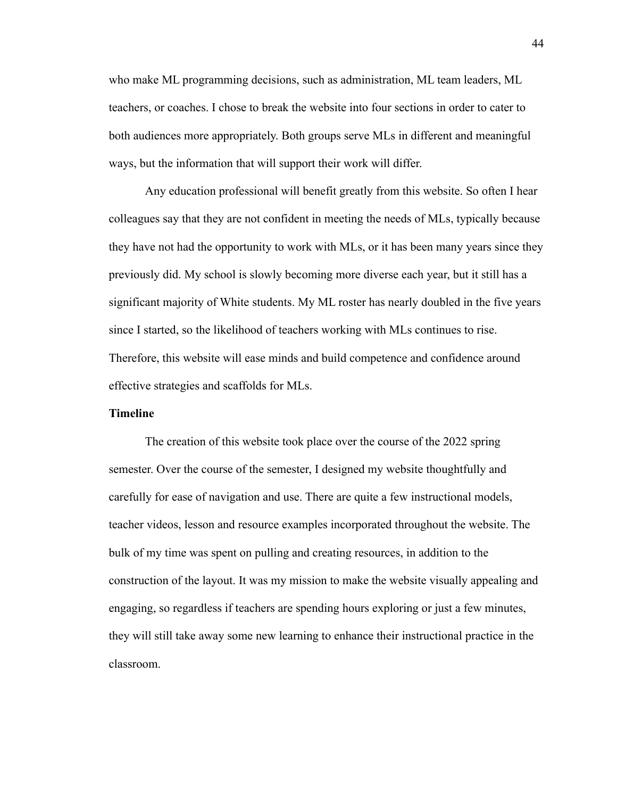who make ML programming decisions, such as administration, ML team leaders, ML teachers, or coaches. I chose to break the website into four sections in order to cater to both audiences more appropriately. Both groups serve MLs in different and meaningful ways, but the information that will support their work will differ.

Any education professional will benefit greatly from this website. So often I hear colleagues say that they are not confident in meeting the needs of MLs, typically because they have not had the opportunity to work with MLs, or it has been many years since they previously did. My school is slowly becoming more diverse each year, but it still has a significant majority of White students. My ML roster has nearly doubled in the five years since I started, so the likelihood of teachers working with MLs continues to rise. Therefore, this website will ease minds and build competence and confidence around effective strategies and scaffolds for MLs.

#### <span id="page-44-0"></span>**Timeline**

The creation of this website took place over the course of the 2022 spring semester. Over the course of the semester, I designed my website thoughtfully and carefully for ease of navigation and use. There are quite a few instructional models, teacher videos, lesson and resource examples incorporated throughout the website. The bulk of my time was spent on pulling and creating resources, in addition to the construction of the layout. It was my mission to make the website visually appealing and engaging, so regardless if teachers are spending hours exploring or just a few minutes, they will still take away some new learning to enhance their instructional practice in the classroom.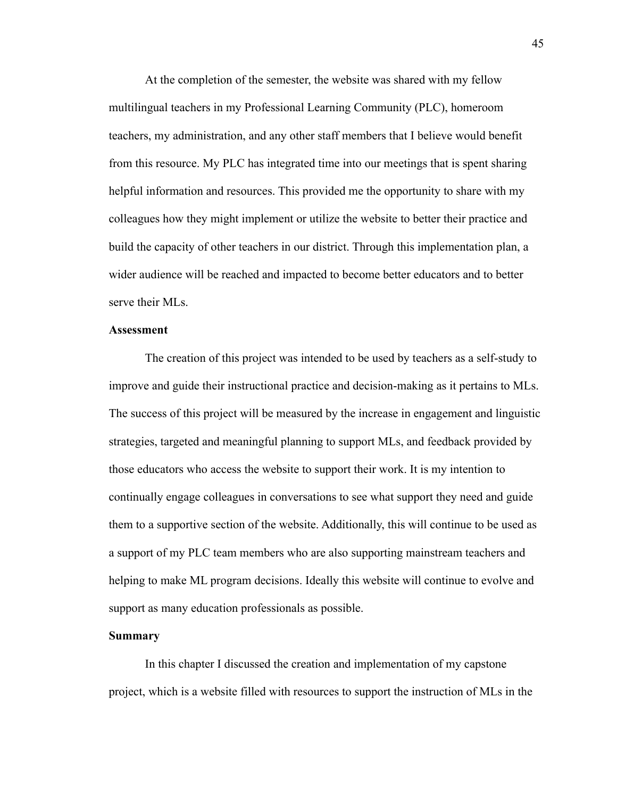At the completion of the semester, the website was shared with my fellow multilingual teachers in my Professional Learning Community (PLC), homeroom teachers, my administration, and any other staff members that I believe would benefit from this resource. My PLC has integrated time into our meetings that is spent sharing helpful information and resources. This provided me the opportunity to share with my colleagues how they might implement or utilize the website to better their practice and build the capacity of other teachers in our district. Through this implementation plan, a wider audience will be reached and impacted to become better educators and to better serve their MLs.

#### <span id="page-45-0"></span>**Assessment**

The creation of this project was intended to be used by teachers as a self-study to improve and guide their instructional practice and decision-making as it pertains to MLs. The success of this project will be measured by the increase in engagement and linguistic strategies, targeted and meaningful planning to support MLs, and feedback provided by those educators who access the website to support their work. It is my intention to continually engage colleagues in conversations to see what support they need and guide them to a supportive section of the website. Additionally, this will continue to be used as a support of my PLC team members who are also supporting mainstream teachers and helping to make ML program decisions. Ideally this website will continue to evolve and support as many education professionals as possible.

#### <span id="page-45-1"></span>**Summary**

In this chapter I discussed the creation and implementation of my capstone project, which is a website filled with resources to support the instruction of MLs in the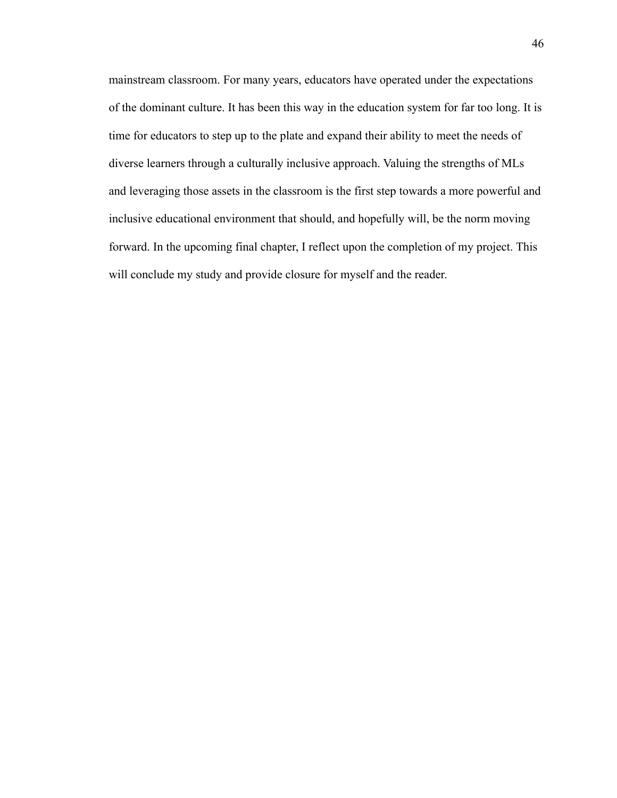<span id="page-46-0"></span>mainstream classroom. For many years, educators have operated under the expectations of the dominant culture. It has been this way in the education system for far too long. It is time for educators to step up to the plate and expand their ability to meet the needs of diverse learners through a culturally inclusive approach. Valuing the strengths of MLs and leveraging those assets in the classroom is the first step towards a more powerful and inclusive educational environment that should, and hopefully will, be the norm moving forward. In the upcoming final chapter, I reflect upon the completion of my project. This will conclude my study and provide closure for myself and the reader.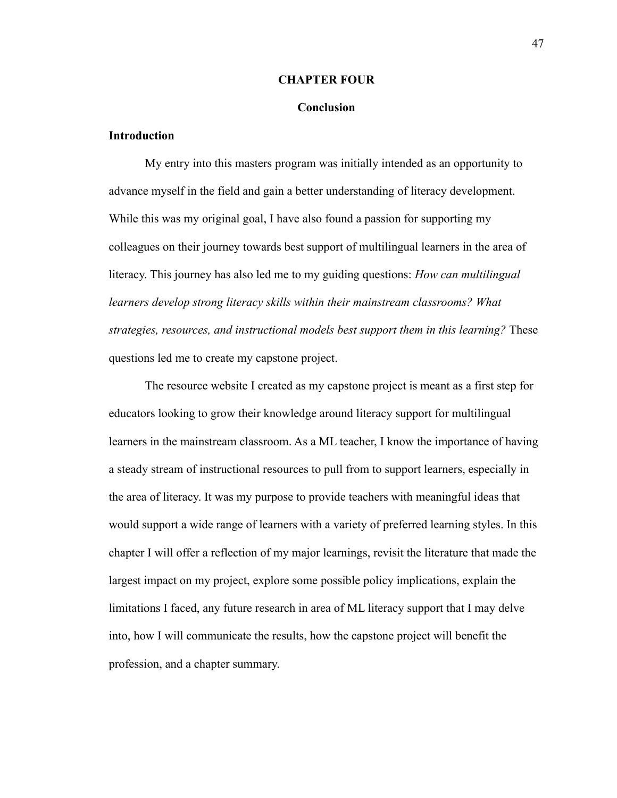#### **CHAPTER FOUR**

#### **Conclusion**

#### <span id="page-47-0"></span>**Introduction**

My entry into this masters program was initially intended as an opportunity to advance myself in the field and gain a better understanding of literacy development. While this was my original goal, I have also found a passion for supporting my colleagues on their journey towards best support of multilingual learners in the area of literacy. This journey has also led me to my guiding questions: *How can multilingual learners develop strong literacy skills within their mainstream classrooms? What strategies, resources, and instructional models best support them in this learning?* These questions led me to create my capstone project.

The resource website I created as my capstone project is meant as a first step for educators looking to grow their knowledge around literacy support for multilingual learners in the mainstream classroom. As a ML teacher, I know the importance of having a steady stream of instructional resources to pull from to support learners, especially in the area of literacy. It was my purpose to provide teachers with meaningful ideas that would support a wide range of learners with a variety of preferred learning styles. In this chapter I will offer a reflection of my major learnings, revisit the literature that made the largest impact on my project, explore some possible policy implications, explain the limitations I faced, any future research in area of ML literacy support that I may delve into, how I will communicate the results, how the capstone project will benefit the profession, and a chapter summary.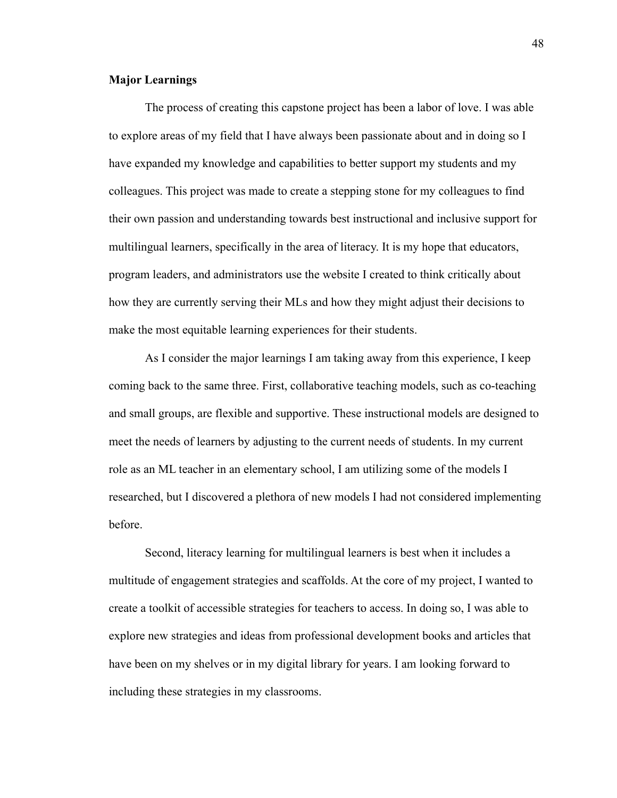#### **Major Learnings**

The process of creating this capstone project has been a labor of love. I was able to explore areas of my field that I have always been passionate about and in doing so I have expanded my knowledge and capabilities to better support my students and my colleagues. This project was made to create a stepping stone for my colleagues to find their own passion and understanding towards best instructional and inclusive support for multilingual learners, specifically in the area of literacy. It is my hope that educators, program leaders, and administrators use the website I created to think critically about how they are currently serving their MLs and how they might adjust their decisions to make the most equitable learning experiences for their students.

As I consider the major learnings I am taking away from this experience, I keep coming back to the same three. First, collaborative teaching models, such as co-teaching and small groups, are flexible and supportive. These instructional models are designed to meet the needs of learners by adjusting to the current needs of students. In my current role as an ML teacher in an elementary school, I am utilizing some of the models I researched, but I discovered a plethora of new models I had not considered implementing before.

Second, literacy learning for multilingual learners is best when it includes a multitude of engagement strategies and scaffolds. At the core of my project, I wanted to create a toolkit of accessible strategies for teachers to access. In doing so, I was able to explore new strategies and ideas from professional development books and articles that have been on my shelves or in my digital library for years. I am looking forward to including these strategies in my classrooms.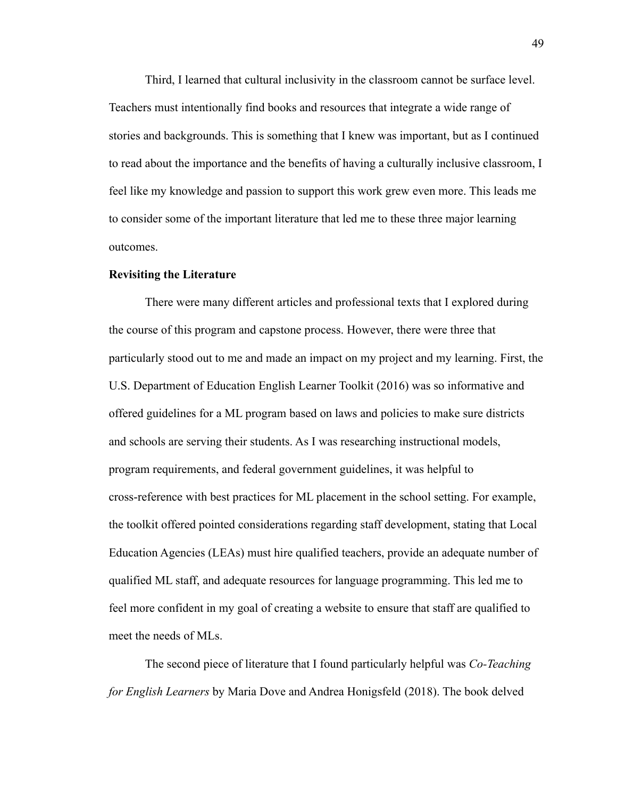Third, I learned that cultural inclusivity in the classroom cannot be surface level. Teachers must intentionally find books and resources that integrate a wide range of stories and backgrounds. This is something that I knew was important, but as I continued to read about the importance and the benefits of having a culturally inclusive classroom, I feel like my knowledge and passion to support this work grew even more. This leads me to consider some of the important literature that led me to these three major learning outcomes.

#### <span id="page-49-0"></span>**Revisiting the Literature**

There were many different articles and professional texts that I explored during the course of this program and capstone process. However, there were three that particularly stood out to me and made an impact on my project and my learning. First, the U.S. Department of Education English Learner Toolkit (2016) was so informative and offered guidelines for a ML program based on laws and policies to make sure districts and schools are serving their students. As I was researching instructional models, program requirements, and federal government guidelines, it was helpful to cross-reference with best practices for ML placement in the school setting. For example, the toolkit offered pointed considerations regarding staff development, stating that Local Education Agencies (LEAs) must hire qualified teachers, provide an adequate number of qualified ML staff, and adequate resources for language programming. This led me to feel more confident in my goal of creating a website to ensure that staff are qualified to meet the needs of MLs.

The second piece of literature that I found particularly helpful was *Co-Teaching for English Learners* by Maria Dove and Andrea Honigsfeld (2018). The book delved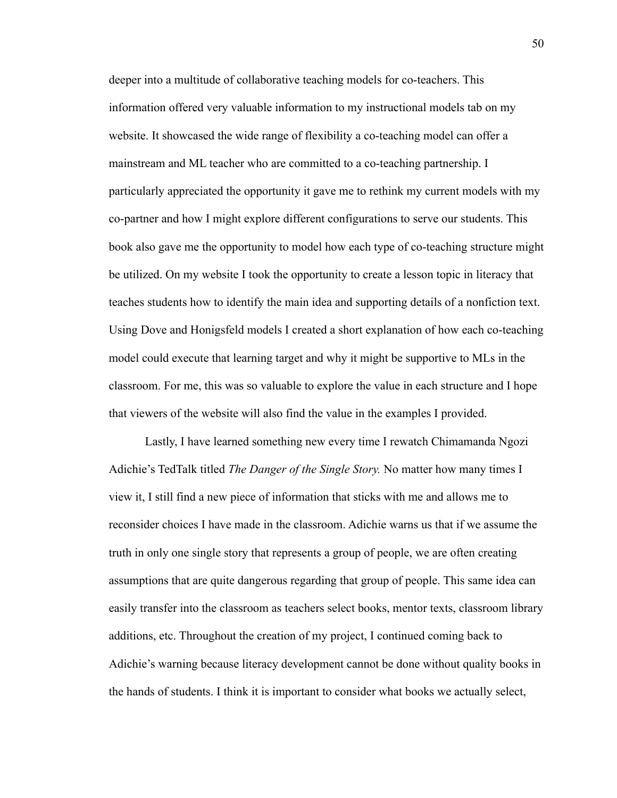deeper into a multitude of collaborative teaching models for co-teachers. This information offered very valuable information to my instructional models tab on my website. It showcased the wide range of flexibility a co-teaching model can offer a mainstream and ML teacher who are committed to a co-teaching partnership. I particularly appreciated the opportunity it gave me to rethink my current models with my co-partner and how I might explore different configurations to serve our students. This book also gave me the opportunity to model how each type of co-teaching structure might be utilized. On my website I took the opportunity to create a lesson topic in literacy that teaches students how to identify the main idea and supporting details of a nonfiction text. Using Dove and Honigsfeld models I created a short explanation of how each co-teaching model could execute that learning target and why it might be supportive to MLs in the classroom. For me, this was so valuable to explore the value in each structure and I hope that viewers of the website will also find the value in the examples I provided.

Lastly, I have learned something new every time I rewatch Chimamanda Ngozi Adichie's TedTalk titled *The Danger of the Single Story.* No matter how many times I view it, I still find a new piece of information that sticks with me and allows me to reconsider choices I have made in the classroom. Adichie warns us that if we assume the truth in only one single story that represents a group of people, we are often creating assumptions that are quite dangerous regarding that group of people. This same idea can easily transfer into the classroom as teachers select books, mentor texts, classroom library additions, etc. Throughout the creation of my project, I continued coming back to Adichie's warning because literacy development cannot be done without quality books in the hands of students. I think it is important to consider what books we actually select,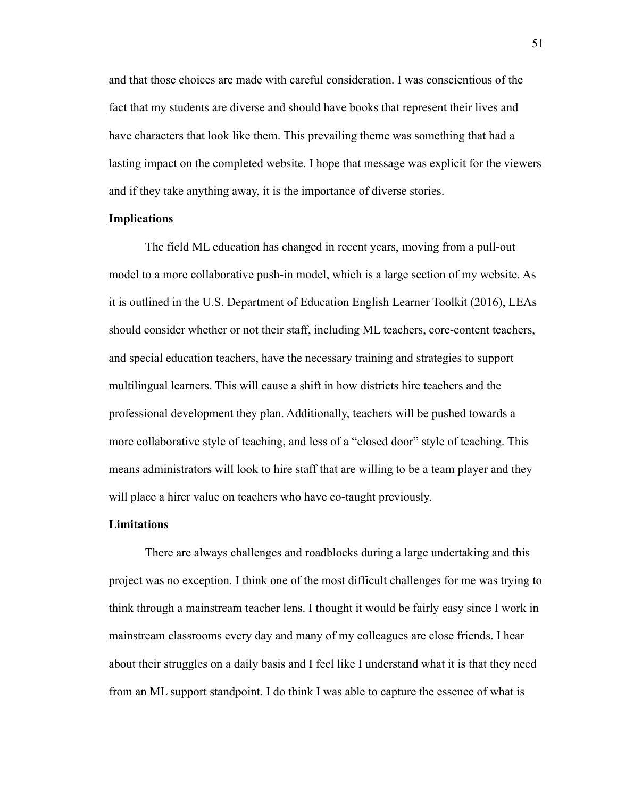and that those choices are made with careful consideration. I was conscientious of the fact that my students are diverse and should have books that represent their lives and have characters that look like them. This prevailing theme was something that had a lasting impact on the completed website. I hope that message was explicit for the viewers and if they take anything away, it is the importance of diverse stories.

#### <span id="page-51-0"></span>**Implications**

The field ML education has changed in recent years, moving from a pull-out model to a more collaborative push-in model, which is a large section of my website. As it is outlined in the U.S. Department of Education English Learner Toolkit (2016), LEAs should consider whether or not their staff, including ML teachers, core-content teachers, and special education teachers, have the necessary training and strategies to support multilingual learners. This will cause a shift in how districts hire teachers and the professional development they plan. Additionally, teachers will be pushed towards a more collaborative style of teaching, and less of a "closed door" style of teaching. This means administrators will look to hire staff that are willing to be a team player and they will place a hirer value on teachers who have co-taught previously.

#### **Limitations**

There are always challenges and roadblocks during a large undertaking and this project was no exception. I think one of the most difficult challenges for me was trying to think through a mainstream teacher lens. I thought it would be fairly easy since I work in mainstream classrooms every day and many of my colleagues are close friends. I hear about their struggles on a daily basis and I feel like I understand what it is that they need from an ML support standpoint. I do think I was able to capture the essence of what is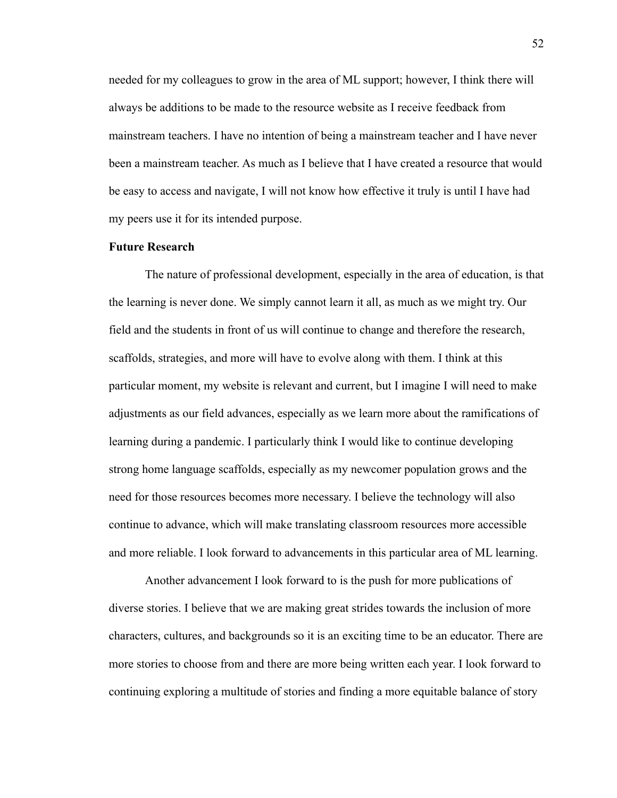needed for my colleagues to grow in the area of ML support; however, I think there will always be additions to be made to the resource website as I receive feedback from mainstream teachers. I have no intention of being a mainstream teacher and I have never been a mainstream teacher. As much as I believe that I have created a resource that would be easy to access and navigate, I will not know how effective it truly is until I have had my peers use it for its intended purpose.

#### <span id="page-52-0"></span>**Future Research**

The nature of professional development, especially in the area of education, is that the learning is never done. We simply cannot learn it all, as much as we might try. Our field and the students in front of us will continue to change and therefore the research, scaffolds, strategies, and more will have to evolve along with them. I think at this particular moment, my website is relevant and current, but I imagine I will need to make adjustments as our field advances, especially as we learn more about the ramifications of learning during a pandemic. I particularly think I would like to continue developing strong home language scaffolds, especially as my newcomer population grows and the need for those resources becomes more necessary. I believe the technology will also continue to advance, which will make translating classroom resources more accessible and more reliable. I look forward to advancements in this particular area of ML learning.

Another advancement I look forward to is the push for more publications of diverse stories. I believe that we are making great strides towards the inclusion of more characters, cultures, and backgrounds so it is an exciting time to be an educator. There are more stories to choose from and there are more being written each year. I look forward to continuing exploring a multitude of stories and finding a more equitable balance of story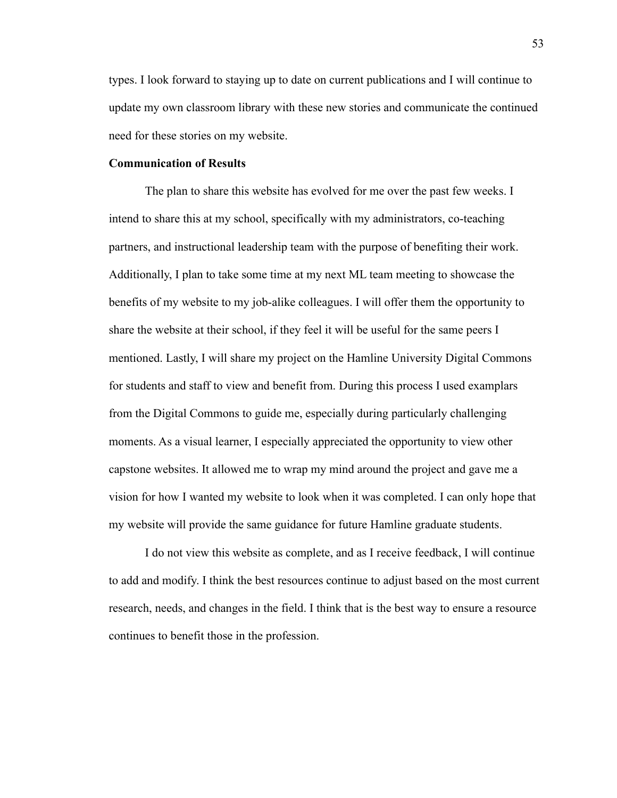types. I look forward to staying up to date on current publications and I will continue to update my own classroom library with these new stories and communicate the continued need for these stories on my website.

#### <span id="page-53-0"></span>**Communication of Results**

The plan to share this website has evolved for me over the past few weeks. I intend to share this at my school, specifically with my administrators, co-teaching partners, and instructional leadership team with the purpose of benefiting their work. Additionally, I plan to take some time at my next ML team meeting to showcase the benefits of my website to my job-alike colleagues. I will offer them the opportunity to share the website at their school, if they feel it will be useful for the same peers I mentioned. Lastly, I will share my project on the Hamline University Digital Commons for students and staff to view and benefit from. During this process I used examplars from the Digital Commons to guide me, especially during particularly challenging moments. As a visual learner, I especially appreciated the opportunity to view other capstone websites. It allowed me to wrap my mind around the project and gave me a vision for how I wanted my website to look when it was completed. I can only hope that my website will provide the same guidance for future Hamline graduate students.

I do not view this website as complete, and as I receive feedback, I will continue to add and modify. I think the best resources continue to adjust based on the most current research, needs, and changes in the field. I think that is the best way to ensure a resource continues to benefit those in the profession.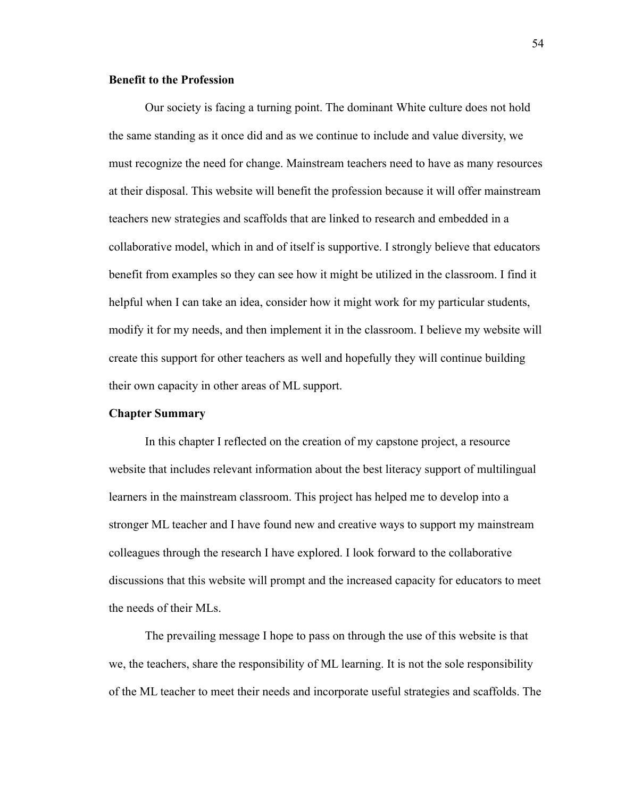#### <span id="page-54-0"></span>**Benefit to the Profession**

Our society is facing a turning point. The dominant White culture does not hold the same standing as it once did and as we continue to include and value diversity, we must recognize the need for change. Mainstream teachers need to have as many resources at their disposal. This website will benefit the profession because it will offer mainstream teachers new strategies and scaffolds that are linked to research and embedded in a collaborative model, which in and of itself is supportive. I strongly believe that educators benefit from examples so they can see how it might be utilized in the classroom. I find it helpful when I can take an idea, consider how it might work for my particular students, modify it for my needs, and then implement it in the classroom. I believe my website will create this support for other teachers as well and hopefully they will continue building their own capacity in other areas of ML support.

#### <span id="page-54-1"></span>**Chapter Summary**

In this chapter I reflected on the creation of my capstone project, a resource website that includes relevant information about the best literacy support of multilingual learners in the mainstream classroom. This project has helped me to develop into a stronger ML teacher and I have found new and creative ways to support my mainstream colleagues through the research I have explored. I look forward to the collaborative discussions that this website will prompt and the increased capacity for educators to meet the needs of their MLs.

The prevailing message I hope to pass on through the use of this website is that we, the teachers, share the responsibility of ML learning. It is not the sole responsibility of the ML teacher to meet their needs and incorporate useful strategies and scaffolds. The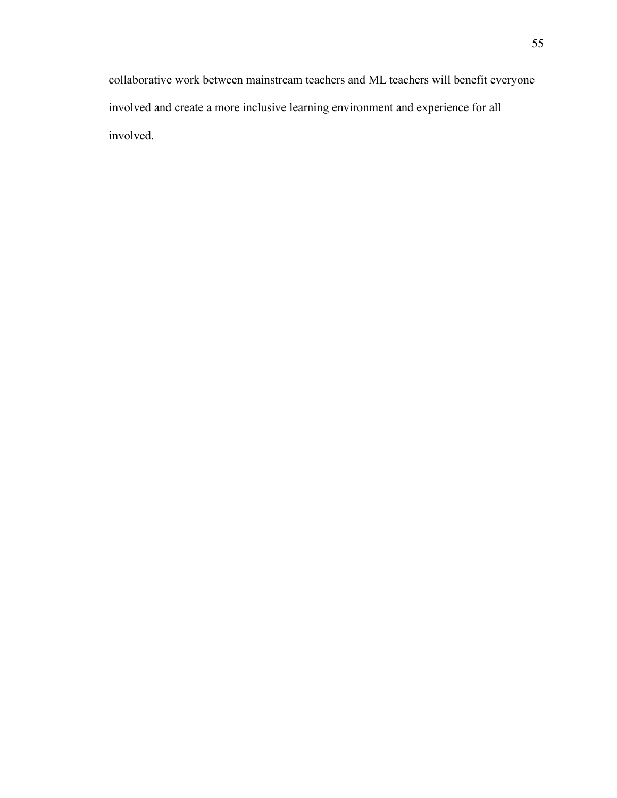collaborative work between mainstream teachers and ML teachers will benefit everyone involved and create a more inclusive learning environment and experience for all involved.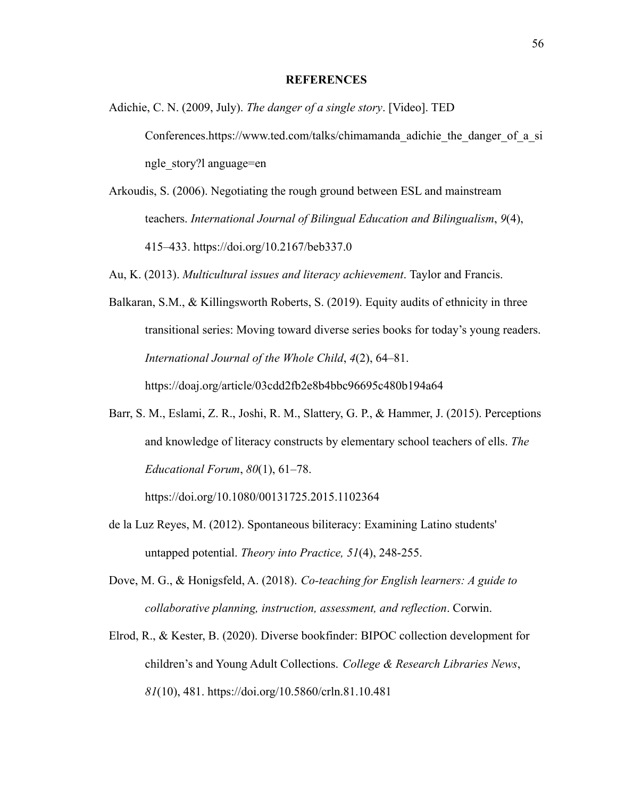#### **REFERENCES**

- <span id="page-56-0"></span>Adichie, C. N. (2009, July). *The danger of a single story*. [Video]. TED Conferences.https://www.ted.com/talks/chimamanda\_adichie\_the\_danger\_of\_a\_si\_ ngle\_story?l anguage=en
- Arkoudis, S. (2006). Negotiating the rough ground between ESL and mainstream teachers. *International Journal of Bilingual Education and Bilingualism*, *9*(4), 415–433. https://doi.org/10.2167/beb337.0
- Au, K. (2013). *Multicultural issues and literacy achievement*. Taylor and Francis.
- Balkaran, S.M., & Killingsworth Roberts, S. (2019). Equity audits of ethnicity in three transitional series: Moving toward diverse series books for today's young readers. *International Journal of the Whole Child*, *4*(2), 64–81.

https://doaj.org/article/03cdd2fb2e8b4bbc96695c480b194a64

Barr, S. M., Eslami, Z. R., Joshi, R. M., Slattery, G. P., & Hammer, J. (2015). Perceptions and knowledge of literacy constructs by elementary school teachers of ells. *The Educational Forum*, *80*(1), 61–78.

https://doi.org/10.1080/00131725.2015.1102364

- de la Luz Reyes, M. (2012). Spontaneous biliteracy: Examining Latino students' untapped potential. *Theory into Practice, 51*(4), 248-255.
- Dove, M. G., & Honigsfeld, A. (2018). *Co-teaching for English learners: A guide to collaborative planning, instruction, assessment, and reflection*. Corwin.
- Elrod, R., & Kester, B. (2020). Diverse bookfinder: BIPOC collection development for children's and Young Adult Collections. *College & Research Libraries News*, *81*(10), 481. https://doi.org/10.5860/crln.81.10.481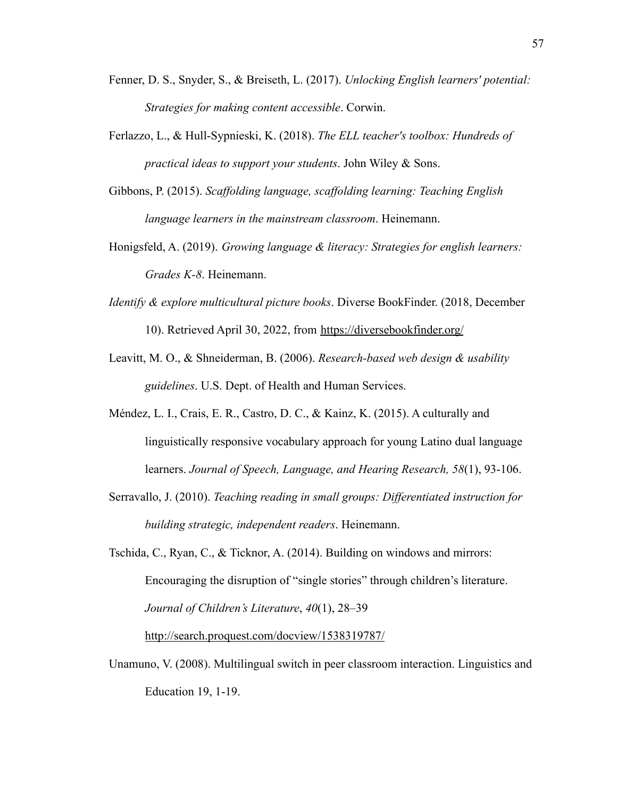- Fenner, D. S., Snyder, S., & Breiseth, L. (2017). *Unlocking English learners' potential: Strategies for making content accessible*. Corwin.
- Ferlazzo, L., & Hull-Sypnieski, K. (2018). *The ELL teacher's toolbox: Hundreds of practical ideas to support your students*. John Wiley & Sons.
- Gibbons, P. (2015). *Scaffolding language, scaffolding learning: Teaching English language learners in the mainstream classroom*. Heinemann.
- Honigsfeld, A. (2019). *Growing language & literacy: Strategies for english learners: Grades K-8*. Heinemann.
- *Identify & explore multicultural picture books*. Diverse BookFinder. (2018, December 10). Retrieved April 30, 2022, from <https://diversebookfinder.org/>
- Leavitt, M. O., & Shneiderman, B. (2006). *Research-based web design & usability guidelines*. U.S. Dept. of Health and Human Services.
- Méndez, L. I., Crais, E. R., Castro, D. C., & Kainz, K. (2015). A culturally and linguistically responsive vocabulary approach for young Latino dual language learners. *Journal of Speech, Language, and Hearing Research, 58*(1), 93-106.
- Serravallo, J. (2010). *Teaching reading in small groups: Differentiated instruction for building strategic, independent readers*. Heinemann.
- Tschida, C., Ryan, C., & Ticknor, A. (2014). Building on windows and mirrors: Encouraging the disruption of "single stories" through children's literature. *Journal of Children's Literature*, *40*(1), 28–39

<http://search.proquest.com/docview/1538319787/>

Unamuno, V. (2008). Multilingual switch in peer classroom interaction. Linguistics and Education 19, 1-19.